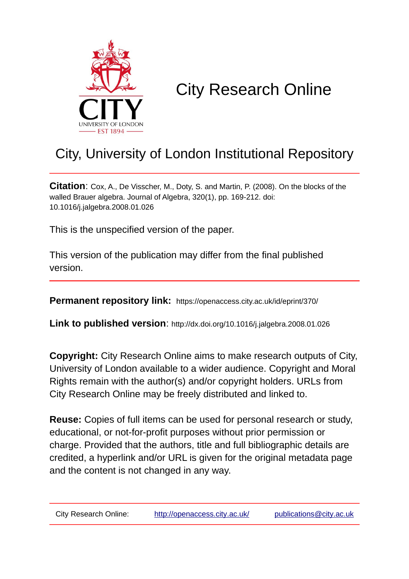

# City Research Online

## City, University of London Institutional Repository

**Citation**: Cox, A., De Visscher, M., Doty, S. and Martin, P. (2008). On the blocks of the walled Brauer algebra. Journal of Algebra, 320(1), pp. 169-212. doi: 10.1016/j.jalgebra.2008.01.026

This is the unspecified version of the paper.

This version of the publication may differ from the final published version.

**Permanent repository link:** https://openaccess.city.ac.uk/id/eprint/370/

**Link to published version**: http://dx.doi.org/10.1016/j.jalgebra.2008.01.026

**Copyright:** City Research Online aims to make research outputs of City, University of London available to a wider audience. Copyright and Moral Rights remain with the author(s) and/or copyright holders. URLs from City Research Online may be freely distributed and linked to.

**Reuse:** Copies of full items can be used for personal research or study, educational, or not-for-profit purposes without prior permission or charge. Provided that the authors, title and full bibliographic details are credited, a hyperlink and/or URL is given for the original metadata page and the content is not changed in any way.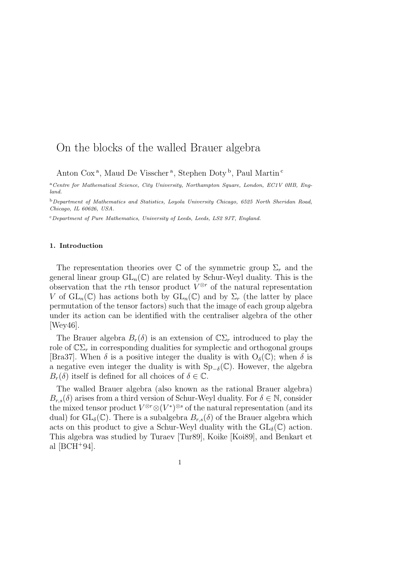### On the blocks of the walled Brauer algebra

Anton Cox<sup>a</sup>, Maud De Visscher<sup>a</sup>, Stephen Doty<sup>b</sup>, Paul Martin<sup>c</sup>

<sup>a</sup>*Centre for Mathematical Science, City University, Northampton Square, London, EC1V 0HB, England.*

<sup>b</sup>*Department of Mathematics and Statistics, Loyola University Chicago, 6525 North Sheridan Road, Chicago, IL 60626, USA.*

<sup>c</sup>*Department of Pure Mathematics, University of Leeds, Leeds, LS2 9JT, England.*

#### 1. Introduction

The representation theories over C of the symmetric group  $\Sigma_r$  and the general linear group  $GL_n(\mathbb{C})$  are related by Schur-Weyl duality. This is the observation that the rth tensor product  $V^{\otimes r}$  of the natural representation V of  $GL_n(\mathbb{C})$  has actions both by  $GL_n(\mathbb{C})$  and by  $\Sigma_r$  (the latter by place permutation of the tensor factors) such that the image of each group algebra under its action can be identified with the centraliser algebra of the other [Wey46].

The Brauer algebra  $B_r(\delta)$  is an extension of  $\mathbb{C}\Sigma_r$  introduced to play the role of  $\mathbb{C}\Sigma_r$  in corresponding dualities for symplectic and orthogonal groups [Bra37]. When  $\delta$  is a positive integer the duality is with  $O_{\delta}(\mathbb{C})$ ; when  $\delta$  is a negative even integer the duality is with  $Sp_{-\delta}(\mathbb{C})$ . However, the algebra  $B_r(\delta)$  itself is defined for all choices of  $\delta \in \mathbb{C}$ .

The walled Brauer algebra (also known as the rational Brauer algebra)  $B_{r,s}(\delta)$  arises from a third version of Schur-Weyl duality. For  $\delta \in \mathbb{N}$ , consider the mixed tensor product  $V^{\otimes r} \otimes (V^*)^{\otimes s}$  of the natural representation (and its dual) for  $GL_{\delta}(\mathbb{C})$ . There is a subalgebra  $B_{r,s}(\delta)$  of the Brauer algebra which acts on this product to give a Schur-Weyl duality with the  $GL_{\delta}(\mathbb{C})$  action. This algebra was studied by Turaev [Tur89], Koike [Koi89], and Benkart et al  $[BCH^+94]$ .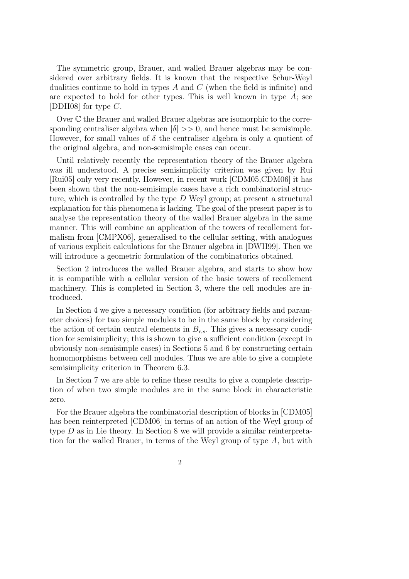The symmetric group, Brauer, and walled Brauer algebras may be considered over arbitrary fields. It is known that the respective Schur-Weyl dualities continue to hold in types  $A$  and  $C$  (when the field is infinite) and are expected to hold for other types. This is well known in type  $A$ ; see [DDH08] for type C.

Over C the Brauer and walled Brauer algebras are isomorphic to the corresponding centraliser algebra when  $|\delta| >> 0$ , and hence must be semisimple. However, for small values of  $\delta$  the centraliser algebra is only a quotient of the original algebra, and non-semisimple cases can occur.

Until relatively recently the representation theory of the Brauer algebra was ill understood. A precise semisimplicity criterion was given by Rui [Rui05] only very recently. However, in recent work [CDM05,CDM06] it has been shown that the non-semisimple cases have a rich combinatorial structure, which is controlled by the type D Weyl group; at present a structural explanation for this phenomena is lacking. The goal of the present paper is to analyse the representation theory of the walled Brauer algebra in the same manner. This will combine an application of the towers of recollement formalism from [CMPX06], generalised to the cellular setting, with analogues of various explicit calculations for the Brauer algebra in [DWH99]. Then we will introduce a geometric formulation of the combinatorics obtained.

Section 2 introduces the walled Brauer algebra, and starts to show how it is compatible with a cellular version of the basic towers of recollement machinery. This is completed in Section 3, where the cell modules are introduced.

In Section 4 we give a necessary condition (for arbitrary fields and parameter choices) for two simple modules to be in the same block by considering the action of certain central elements in  $B_{r,s}$ . This gives a necessary condition for semisimplicity; this is shown to give a sufficient condition (except in obviously non-semisimple cases) in Sections 5 and 6 by constructing certain homomorphisms between cell modules. Thus we are able to give a complete semisimplicity criterion in Theorem 6.3.

In Section 7 we are able to refine these results to give a complete description of when two simple modules are in the same block in characteristic zero.

For the Brauer algebra the combinatorial description of blocks in [CDM05] has been reinterpreted [CDM06] in terms of an action of the Weyl group of type D as in Lie theory. In Section 8 we will provide a similar reinterpretation for the walled Brauer, in terms of the Weyl group of type A, but with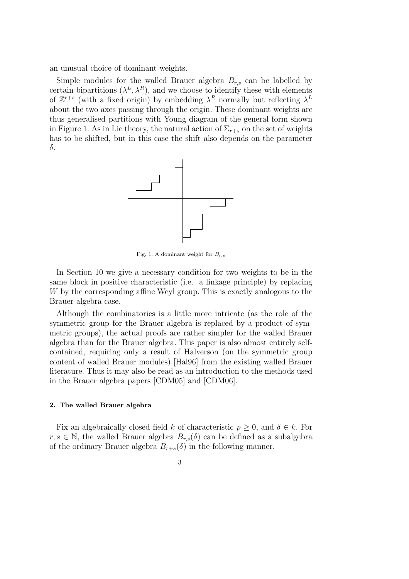an unusual choice of dominant weights.

Simple modules for the walled Brauer algebra  $B_{r,s}$  can be labelled by certain bipartitions  $(\lambda^L, \lambda^R)$ , and we choose to identify these with elements of  $\mathbb{Z}^{r+s}$  (with a fixed origin) by embedding  $\lambda^R$  normally but reflecting  $\lambda^L$ about the two axes passing through the origin. These dominant weights are thus generalised partitions with Young diagram of the general form shown in Figure 1. As in Lie theory, the natural action of  $\Sigma_{r+s}$  on the set of weights has to be shifted, but in this case the shift also depends on the parameter δ.



Fig. 1. A dominant weight for  $B_{r,s}$ 

In Section 10 we give a necessary condition for two weights to be in the same block in positive characteristic (i.e. a linkage principle) by replacing W by the corresponding affine Weyl group. This is exactly analogous to the Brauer algebra case.

Although the combinatorics is a little more intricate (as the role of the symmetric group for the Brauer algebra is replaced by a product of symmetric groups), the actual proofs are rather simpler for the walled Brauer algebra than for the Brauer algebra. This paper is also almost entirely selfcontained, requiring only a result of Halverson (on the symmetric group content of walled Brauer modules) [Hal96] from the existing walled Brauer literature. Thus it may also be read as an introduction to the methods used in the Brauer algebra papers [CDM05] and [CDM06].

#### 2. The walled Brauer algebra

Fix an algebraically closed field k of characteristic  $p \geq 0$ , and  $\delta \in k$ . For  $r, s \in \mathbb{N}$ , the walled Brauer algebra  $B_{r,s}(\delta)$  can be defined as a subalgebra of the ordinary Brauer algebra  $B_{r+s}(\delta)$  in the following manner.

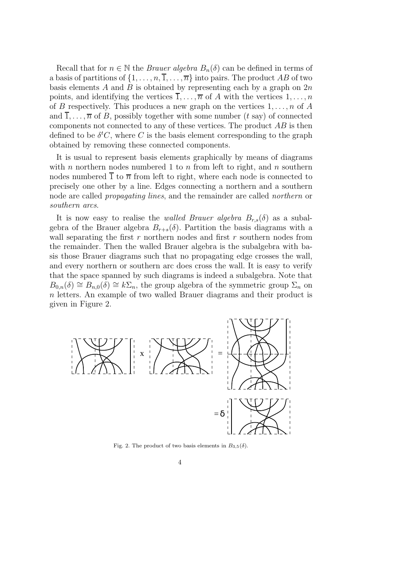Recall that for  $n \in \mathbb{N}$  the *Brauer algebra*  $B_n(\delta)$  can be defined in terms of a basis of partitions of  $\{1, \ldots, n, \overline{1}, \ldots, \overline{n}\}$  into pairs. The product AB of two basis elements A and B is obtained by representing each by a graph on  $2n$ points, and identifying the vertices  $\overline{1}, \ldots, \overline{n}$  of A with the vertices  $1, \ldots, n$ of B respectively. This produces a new graph on the vertices  $1, \ldots, n$  of A and  $\overline{1}, \ldots, \overline{n}$  of B, possibly together with some number (t say) of connected components not connected to any of these vertices. The product  $AB$  is then defined to be  $\delta^t C$ , where C is the basis element corresponding to the graph obtained by removing these connected components.

It is usual to represent basis elements graphically by means of diagrams with n northern nodes numbered 1 to n from left to right, and n southern nodes numbered  $\overline{1}$  to  $\overline{n}$  from left to right, where each node is connected to precisely one other by a line. Edges connecting a northern and a southern node are called *propagating lines*, and the remainder are called *northern* or *southern arcs*.

It is now easy to realise the *walled Brauer algebra*  $B_{r,s}(\delta)$  as a subalgebra of the Brauer algebra  $B_{r+s}(\delta)$ . Partition the basis diagrams with a wall separating the first  $r$  northern nodes and first  $r$  southern nodes from the remainder. Then the walled Brauer algebra is the subalgebra with basis those Brauer diagrams such that no propagating edge crosses the wall, and every northern or southern arc does cross the wall. It is easy to verify that the space spanned by such diagrams is indeed a subalgebra. Note that  $B_{0,n}(\delta) \cong B_{n,0}(\delta) \cong k\Sigma_n$ , the group algebra of the symmetric group  $\Sigma_n$  on n letters. An example of two walled Brauer diagrams and their product is given in Figure 2.



Fig. 2. The product of two basis elements in  $B_{3,5}(\delta)$ .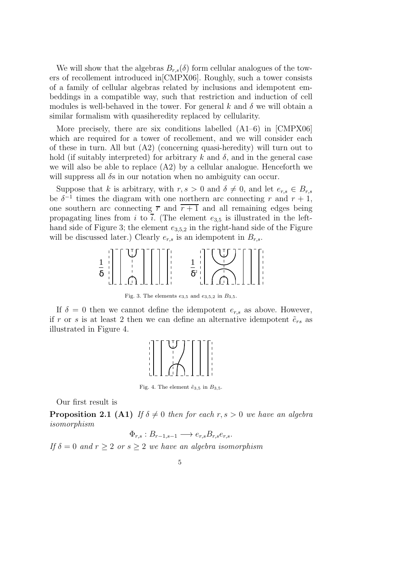We will show that the algebras  $B_{r,s}(\delta)$  form cellular analogues of the towers of recollement introduced in[CMPX06]. Roughly, such a tower consists of a family of cellular algebras related by inclusions and idempotent embeddings in a compatible way, such that restriction and induction of cell modules is well-behaved in the tower. For general k and  $\delta$  we will obtain a similar formalism with quasiheredity replaced by cellularity.

More precisely, there are six conditions labelled  $(A1-6)$  in  $[CMPX06]$ which are required for a tower of recollement, and we will consider each of these in turn. All but  $(A2)$  (concerning quasi-heredity) will turn out to hold (if suitably interpreted) for arbitrary k and  $\delta$ , and in the general case we will also be able to replace  $(A2)$  by a cellular analogue. Henceforth we will suppress all  $\delta s$  in our notation when no ambiguity can occur.

Suppose that k is arbitrary, with  $r, s > 0$  and  $\delta \neq 0$ , and let  $e_{r,s} \in B_{r,s}$ be  $\delta^{-1}$  times the diagram with one northern arc connecting r and  $r + 1$ , one southern arc connecting  $\overline{r}$  and  $\overline{r+1}$  and all remaining edges being propagating lines from i to  $\overline{i}$ . (The element  $e_{3,5}$  is illustrated in the lefthand side of Figure 3; the element  $e_{3,5,2}$  in the right-hand side of the Figure will be discussed later.) Clearly  $e_{r,s}$  is an idempotent in  $B_{r,s}$ .



Fig. 3. The elements  $e_{3,5}$  and  $e_{3,5,2}$  in  $B_{3,5}$ .

If  $\delta = 0$  then we cannot define the idempotent  $e_{r,s}$  as above. However, if r or s is at least 2 then we can define an alternative idempotent  $\tilde{e}_{rs}$  as illustrated in Figure 4.



Fig. 4. The element  $\tilde{e}_{3,5}$  in  $B_{3,5}$ .

Our first result is

**Proposition 2.1 (A1)** *If*  $\delta \neq 0$  *then for each* r, s > 0 *we have an algebra isomorphism*

$$
\Phi_{r,s}: B_{r-1,s-1} \longrightarrow e_{r,s} B_{r,s} e_{r,s}.
$$

*If*  $\delta = 0$  *and*  $r \geq 2$  *or*  $s \geq 2$  *we have an algebra isomorphism* 

$$
\phantom{0}5
$$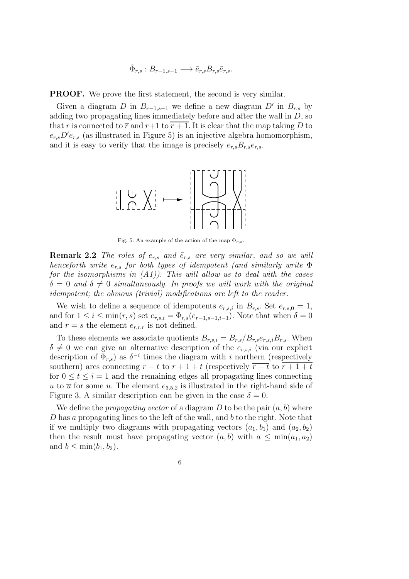$$
\tilde{\Phi}_{r,s}: B_{r-1,s-1} \longrightarrow \tilde{e}_{r,s} B_{r,s} \tilde{e}_{r,s}.
$$

PROOF. We prove the first statement, the second is very similar.

Given a diagram D in  $B_{r-1,s-1}$  we define a new diagram D' in  $B_{r,s}$  by adding two propagating lines immediately before and after the wall in  $D$ , so that r is connected to  $\overline{r}$  and  $r+1$  to  $\overline{r+1}$ . It is clear that the map taking D to  $e_{r,s}D'e_{r,s}$  (as illustrated in Figure 5) is an injective algebra homomorphism, and it is easy to verify that the image is precisely  $e_{r,s}B_{r,s}e_{r,s}$ .



Fig. 5. An example of the action of the map  $\Phi_{r,s}$ .

**Remark 2.2** *The roles of*  $e_{r,s}$  *and*  $\tilde{e}_{r,s}$  *are very similar, and so we will henceforth write* er,s *for both types of idempotent (and similarly write* Φ *for the isomorphisms in (A1)). This will allow us to deal with the cases*  $\delta = 0$  *and*  $\delta \neq 0$  *simultaneously. In proofs we will work with the original idempotent; the obvious (trivial) modifications are left to the reader.*

We wish to define a sequence of idempotents  $e_{r,s,i}$  in  $B_{r,s}$ . Set  $e_{r,s,0} = 1$ , and for  $1 \leq i \leq \min(r, s)$  set  $e_{r,s,i} = \Phi_{r,s}(e_{r-1,s-1,i-1})$ . Note that when  $\delta = 0$ and  $r = s$  the element  $e_{r,r,r}$  is not defined.

To these elements we associate quotients  $B_{r,s,i} = B_{r,s}/B_{r,s}e_{r,s,i}B_{r,s}$ . When  $\delta \neq 0$  we can give an alternative description of the  $e_{r,s,i}$  (via our explicit description of  $\Phi_{r,s}$ ) as  $\delta^{-i}$  times the diagram with i northern (respectively southern) arcs connecting  $r - t$  to  $r + 1 + t$  (respectively  $\overline{r - t}$  to  $\overline{r + 1 + t}$ for  $0 \leq t \leq i = 1$  and the remaining edges all propagating lines connecting u to  $\overline{u}$  for some u. The element  $e_{3,5,2}$  is illustrated in the right-hand side of Figure 3. A similar description can be given in the case  $\delta = 0$ .

We define the *propagating vector* of a diagram  $D$  to be the pair  $(a, b)$  where  $D$  has a propagating lines to the left of the wall, and  $b$  to the right. Note that if we multiply two diagrams with propagating vectors  $(a_1, b_1)$  and  $(a_2, b_2)$ then the result must have propagating vector  $(a, b)$  with  $a \leq \min(a_1, a_2)$ and  $b \leq \min(b_1, b_2)$ .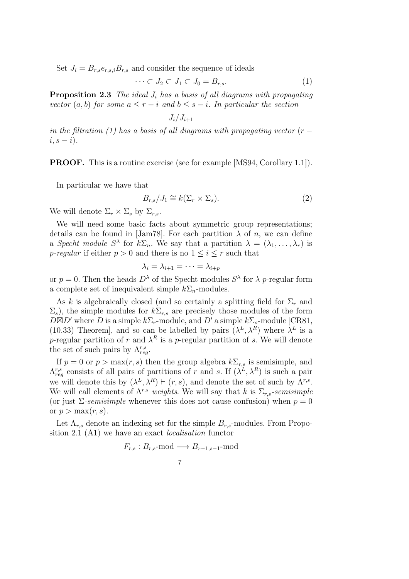Set  $J_i = B_{r,s}e_{r,s,i}B_{r,s}$  and consider the sequence of ideals

$$
\cdots \subset J_2 \subset J_1 \subset J_0 = B_{r,s}.\tag{1}
$$

Proposition 2.3 *The ideal* J<sup>i</sup> *has a basis of all diagrams with propagating vector*  $(a, b)$  *for some*  $a \leq r - i$  *and*  $b \leq s - i$ *. In particular the section* 

$$
J_i/J_{i+1}
$$

*in the filtration (1) has a basis of all diagrams with propagating vector*  $(r$  $i, s - i$ .

PROOF. This is a routine exercise (see for example [MS94, Corollary 1.1]).

In particular we have that

$$
B_{r,s}/J_1 \cong k(\Sigma_r \times \Sigma_s). \tag{2}
$$

We will denote  $\Sigma_r \times \Sigma_s$  by  $\Sigma_{r,s}$ .

We will need some basic facts about symmetric group representations; details can be found in [Jam78]. For each partition  $\lambda$  of n, we can define a *Specht module*  $S^{\lambda}$  for  $k\Sigma_n$ . We say that a partition  $\lambda = (\lambda_1, \ldots, \lambda_r)$  is *p-regular* if either  $p > 0$  and there is no  $1 \leq i \leq r$  such that

$$
\lambda_i=\lambda_{i+1}=\cdots=\lambda_{i+p}
$$

or  $p = 0$ . Then the heads  $D^{\lambda}$  of the Specht modules  $S^{\lambda}$  for  $\lambda$  *p*-regular form a complete set of inequivalent simple  $k\Sigma_n$ -modules.

As k is algebraically closed (and so certainly a splitting field for  $\Sigma_r$  and  $\Sigma_s$ , the simple modules for  $k\Sigma_{r,s}$  are precisely those modules of the form  $D\boxtimes D'$  where D is a simple  $k\Sigma_r$ -module, and D' a simple  $k\Sigma_s$ -module [CR81, (10.33) Theorem, and so can be labelled by pairs  $(\lambda^L, \lambda^R)$  where  $\lambda^L$  is a p-regular partition of r and  $\lambda^R$  is a p-regular partition of s. We will denote the set of such pairs by  $\Lambda_{reg}^{r,s}$ .

If  $p = 0$  or  $p > \max(r, s)$  then the group algebra  $k \Sigma_{r,s}$  is semisimple, and  $\Lambda^{r,s}_{reg}$  consists of all pairs of partitions of r and s. If  $(\lambda^L, \lambda^R)$  is such a pair we will denote this by  $(\lambda^L, \lambda^R) \vdash (r, s)$ , and denote the set of such by  $\Lambda^{r,s}$ . We will call elements of  $\Lambda^{r,s}$  *weights*. We will say that k is  $\Sigma_{r,s}$ -semisimple (or just  $\Sigma$ -semisimple whenever this does not cause confusion) when  $p = 0$ or  $p > \max(r, s)$ .

Let  $\Lambda_{r,s}$  denote an indexing set for the simple  $B_{r,s}$ -modules. From Proposition 2.1 (A1) we have an exact *localisation* functor

$$
F_{r,s}: B_{r,s}\text{-mod} \longrightarrow B_{r-1,s-1}\text{-mod}
$$

$$
\overline{7}
$$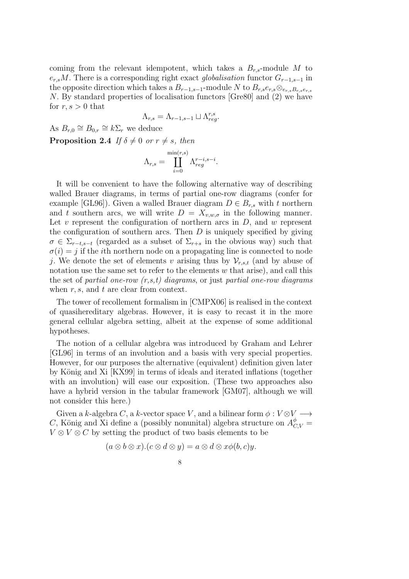coming from the relevant idempotent, which takes a  $B_{r,s}$ -module M to  $e_{r,s}M$ . There is a corresponding right exact *globalisation* functor  $G_{r-1,s-1}$  in the opposite direction which takes a  $B_{r-1,s-1}$ -module N to  $B_{r,s}e_{r,s}\otimes_{e_{r,s}B_{r,s}e_{r,s}}$ N. By standard properties of localisation functors [Gre80] and (2) we have for  $r, s > 0$  that

$$
\Lambda_{r,s}=\Lambda_{r-1,s-1}\sqcup\Lambda_{reg}^{r,s}.
$$

As  $B_{r,0} \cong B_{0,r} \cong k\Sigma_r$  we deduce

**Proposition 2.4** *If*  $\delta \neq 0$  *or*  $r \neq s$ *, then* 

$$
\Lambda_{r,s} = \coprod_{i=0}^{\min(r,s)} \Lambda_{reg}^{r-i,s-i}.
$$

It will be convenient to have the following alternative way of describing walled Brauer diagrams, in terms of partial one-row diagrams (confer for example [GL96]). Given a walled Brauer diagram  $D \in B_{r,s}$  with t northern and t southern arcs, we will write  $D = X_{v,w,\sigma}$  in the following manner. Let  $v$  represent the configuration of northern arcs in  $D$ , and  $w$  represent the configuration of southern arcs. Then  $D$  is uniquely specified by giving  $\sigma \in \Sigma_{r-t,s-t}$  (regarded as a subset of  $\Sigma_{r+s}$  in the obvious way) such that  $\sigma(i) = j$  if the *i*th northern node on a propagating line is connected to node j. We denote the set of elements v arising thus by  $\mathcal{V}_{r,s,t}$  (and by abuse of notation use the same set to refer to the elements  $w$  that arise), and call this the set of *partial one-row (r,s,t) diagrams*, or just *partial one-row diagrams* when  $r, s$ , and  $t$  are clear from context.

The tower of recollement formalism in [CMPX06] is realised in the context of quasihereditary algebras. However, it is easy to recast it in the more general cellular algebra setting, albeit at the expense of some additional hypotheses.

The notion of a cellular algebra was introduced by Graham and Lehrer [GL96] in terms of an involution and a basis with very special properties. However, for our purposes the alternative (equivalent) definition given later by K¨onig and Xi [KX99] in terms of ideals and iterated inflations (together with an involution) will ease our exposition. (These two approaches also have a hybrid version in the tabular framework [GM07], although we will not consider this here.)

Given a k-algebra C, a k-vector space V, and a bilinear form  $\phi: V \otimes V \longrightarrow$ C, König and Xi define a (possibly nonunital) algebra structure on  $A_{C,V}^{\phi}$  =  $V \otimes V \otimes C$  by setting the product of two basis elements to be

$$
(a\otimes b\otimes x).(c\otimes d\otimes y)=a\otimes d\otimes x\phi(b,c)y.
$$

8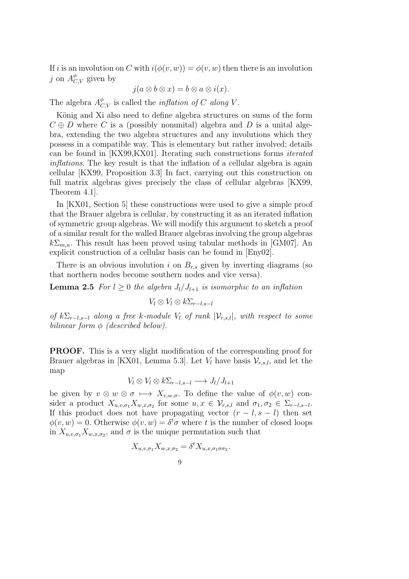If i is an involution on C with  $i(\phi(v, w)) = \phi(v, w)$  then there is an involution j on  $A_{C,V}^{\phi}$  given by

$$
j(a\otimes b\otimes x)=b\otimes a\otimes i(x).
$$

The algebra  $A_{C,V}^{\phi}$  is called the *inflation of* C *along* V.

König and Xi also need to define algebra structures on sums of the form  $C \oplus D$  where C is a (possibly nonunital) algebra and D is a unital algebra, extending the two algebra structures and any involutions which they possess in a compatible way. This is elementary but rather involved; details can be found in [KX99,KX01]. Iterating such constructions forms *iterated inflations*. The key result is that the inflation of a cellular algebra is again cellular [KX99, Proposition 3.3] In fact, carrying out this construction on full matrix algebras gives precisely the class of cellular algebras [KX99, Theorem 4.1].

In [KX01, Section 5] these constructions were used to give a simple proof that the Brauer algebra is cellular, by constructing it as an iterated inflation of symmetric group algebras. We will modify this argument to sketch a proof of a similar result for the walled Brauer algebras involving the group algebras  $k\Sigma_{m,n}$ . This result has been proved using tabular methods in [GM07]. An explicit construction of a cellular basis can be found in [Eny02].

There is an obvious involution i on  $B_{r,s}$  given by inverting diagrams (so that northern nodes become southern nodes and vice versa).

**Lemma 2.5** *For*  $l \geq 0$  *the algebra*  $J_l/J_{l+1}$  *is isomorphic to an inflation* 

$$
V_l \otimes V_l \otimes k\Sigma_{r-l,s-l}
$$

*of*  $k\Sigma_{r-l,s-l}$  *along a free* k-module  $V_l$  *of rank*  $|V_{r,s,l}|$ *, with respect to some bilinear form* φ *(described below).*

PROOF. This is a very slight modification of the corresponding proof for Brauer algebras in [KX01, Lemma 5.3]. Let  $V_l$  have basis  $\mathcal{V}_{r,s,l}$ , and let the map

$$
V_l \otimes V_l \otimes k\Sigma_{r-l,s-l} \longrightarrow J_l/J_{l+1}
$$

be given by  $v \otimes w \otimes \sigma \mapsto X_{v,w,\sigma}$ . To define the value of  $\phi(v, w)$  consider a product  $X_{u,v,\sigma_1}X_{w,x,\sigma_2}$  for some  $u, x \in \mathcal{V}_{r,s,l}$  and  $\sigma_1, \sigma_2 \in \Sigma_{r-l,s-l}$ . If this product does not have propagating vector  $(r - l, s - l)$  then set  $\phi(v, w) = 0$ . Otherwise  $\phi(v, w) = \delta^t \sigma$  where t is the number of closed loops in  $X_{u,v,\sigma_1} X_{w,x,\sigma_2}$ , and  $\sigma$  is the unique permutation such that

$$
X_{u,v,\sigma_1} X_{w,x,\sigma_2} = \delta^t X_{u,x,\sigma_1 \sigma \sigma_2}.
$$

$$
9 \\
$$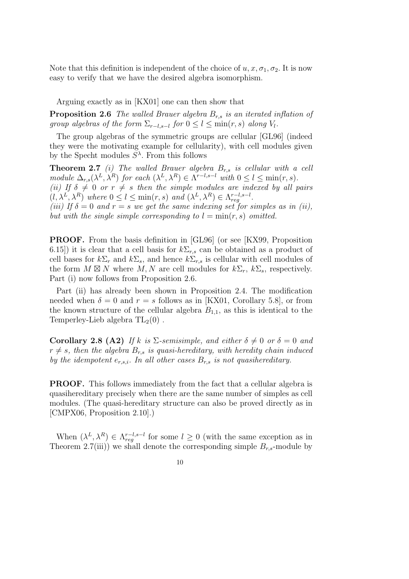Note that this definition is independent of the choice of  $u, x, \sigma_1, \sigma_2$ . It is now easy to verify that we have the desired algebra isomorphism.

Arguing exactly as in [KX01] one can then show that

**Proposition 2.6** *The walled Brauer algebra*  $B_{r,s}$  *is an iterated inflation of group algebras of the form*  $\Sigma_{r-l,s-l}$  *for*  $0 \le l \le \min(r,s)$  *along*  $V_l$ *.* 

The group algebras of the symmetric groups are cellular [GL96] (indeed they were the motivating example for cellularity), with cell modules given by the Specht modules  $S^{\lambda}$ . From this follows

Theorem 2.7 *(i) The walled Brauer algebra* Br,s *is cellular with a cell module*  $\Delta_{r,s}(\lambda^L, \lambda^R)$  *for each*  $(\lambda^L, \lambda^R) \in \Lambda^{r-l,s-l}$  *with*  $0 \le l \le \min(r, s)$ *. (ii)* If  $\delta \neq 0$  *or*  $r \neq s$  *then the simple modules are indexed by all pairs*  $(l, \lambda^L, \lambda^R)$  where  $0 \le l \le \min(r, s)$  and  $(\lambda^L, \lambda^R) \in \Lambda_{reg}^{r-l, s-l}$ . *(iii)* If  $\delta = 0$  and  $r = s$  we get the same indexing set for simples as in (ii), *but with the single simple corresponding to*  $l = min(r, s)$  *omitted.* 

PROOF. From the basis definition in [GL96] (or see [KX99, Proposition 6.15) it is clear that a cell basis for  $k\Sigma_{r,s}$  can be obtained as a product of cell bases for  $k\Sigma_r$  and  $k\Sigma_s$ , and hence  $k\Sigma_{r,s}$  is cellular with cell modules of the form  $M \boxtimes N$  where  $M, N$  are cell modules for  $k\Sigma_r$ ,  $k\Sigma_s$ , respectively. Part (i) now follows from Proposition 2.6.

Part (ii) has already been shown in Proposition 2.4. The modification needed when  $\delta = 0$  and  $r = s$  follows as in [KX01, Corollary 5.8], or from the known structure of the cellular algebra  $B_{1,1}$ , as this is identical to the Temperley-Lieb algebra  $TL_2(0)$ .

**Corollary 2.8 (A2)** If k is  $\Sigma$ -semisimple, and either  $\delta \neq 0$  or  $\delta = 0$  and  $r \neq s$ , then the algebra  $B_{r,s}$  *is quasi-hereditary, with heredity chain induced by the idempotent*  $e_{r,s,i}$ *. In all other cases*  $B_{r,s}$  *is not quasihereditary.* 

PROOF. This follows immediately from the fact that a cellular algebra is quasihereditary precisely when there are the same number of simples as cell modules. (The quasi-hereditary structure can also be proved directly as in [CMPX06, Proposition 2.10].)

When  $(\lambda^L, \lambda^R) \in \Lambda_{reg}^{r-l,s-l}$  for some  $l \geq 0$  (with the same exception as in Theorem 2.7(iii)) we shall denote the corresponding simple  $B_{r,s}$ -module by

$$
10\,
$$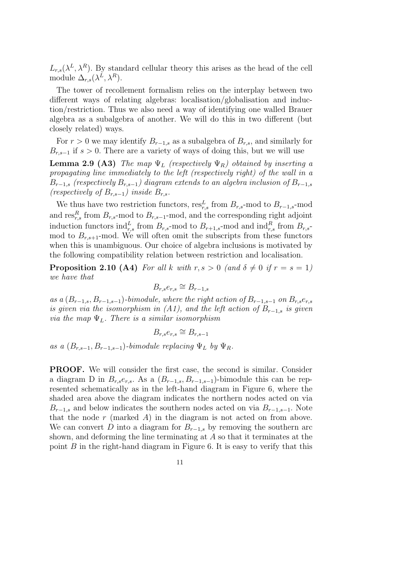$L_{r,s}(\lambda^L, \lambda^R)$ . By standard cellular theory this arises as the head of the cell module  $\Delta_{r,s}(\lambda^L,\lambda^R)$ .

The tower of recollement formalism relies on the interplay between two different ways of relating algebras: localisation/globalisation and induction/restriction. Thus we also need a way of identifying one walled Brauer algebra as a subalgebra of another. We will do this in two different (but closely related) ways.

For  $r > 0$  we may identify  $B_{r-1,s}$  as a subalgebra of  $B_{r,s}$ , and similarly for  $B_{r,s-1}$  if  $s > 0$ . There are a variety of ways of doing this, but we will use

**Lemma 2.9 (A3)** *The map*  $\Psi_L$  *(respectively*  $\Psi_R$ *) obtained by inserting a propagating line immediately to the left (respectively right) of the wall in a*  $B_{r-1,s}$  *(respectively*  $B_{r,s-1}$ *)* diagram extends to an algebra inclusion of  $B_{r-1,s}$ *(respectively of*  $B_{r,s-1}$ *) inside*  $B_{r,s}$ *.* 

We thus have two restriction functors,  $res_{r,s}^L$  from  $B_{r,s}$ -mod to  $B_{r-1,s}$ -mod and  $res_{r,s}^R$  from  $B_{r,s}$ -mod to  $B_{r,s-1}$ -mod, and the corresponding right adjoint induction functors  $\text{ind}_{r,s}^L$  from  $B_{r,s}$ -mod to  $B_{r+1,s}$ -mod and  $\text{ind}_{r,s}^R$  from  $B_{r,s}$ mod to  $B_{r,s+1}$ -mod. We will often omit the subscripts from these functors when this is unambiguous. Our choice of algebra inclusions is motivated by the following compatibility relation between restriction and localisation.

**Proposition 2.10 (A4)** *For all* k *with*  $r, s > 0$  *(and*  $\delta \neq 0$  *if*  $r = s = 1$ *) we have that*

$$
B_{r,s}e_{r,s}\cong B_{r-1,s}
$$

*as a*  $(B_{r-1,s}, B_{r-1,s-1})$ *-bimodule, where the right action of*  $B_{r-1,s-1}$  *on*  $B_{r,s}e_{r,s}$ *is given via the isomorphism in (A1), and the left action of*  $B_{r-1,s}$  *is given via the map* ΨL*. There is a similar isomorphism*

$$
B_{r,s}e_{r,s}\cong B_{r,s-1}
$$

*as a*  $(B_{r,s-1}, B_{r-1,s-1})$ *-bimodule replacing*  $\Psi_L$  *by*  $\Psi_R$ *.* 

PROOF. We will consider the first case, the second is similar. Consider a diagram D in  $B_{r,s}e_{r,s}$ . As a  $(B_{r-1,s}, B_{r-1,s-1})$ -bimodule this can be represented schematically as in the left-hand diagram in Figure 6, where the shaded area above the diagram indicates the northern nodes acted on via  $B_{r-1,s}$  and below indicates the southern nodes acted on via  $B_{r-1,s-1}$ . Note that the node  $r$  (marked  $A$ ) in the diagram is not acted on from above. We can convert D into a diagram for  $B_{r-1,s}$  by removing the southern arc shown, and deforming the line terminating at  $A$  so that it terminates at the point  $B$  in the right-hand diagram in Figure 6. It is easy to verify that this

$$
\overline{1}\overline{1}
$$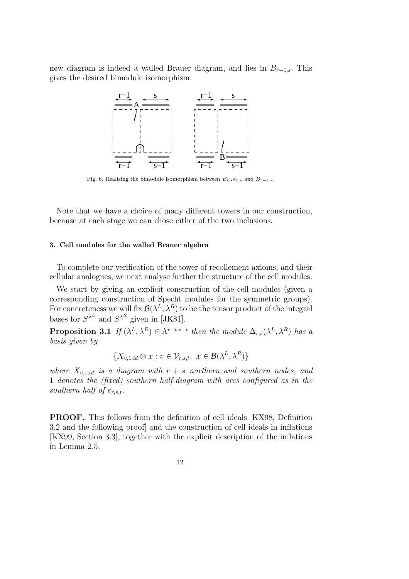new diagram is indeed a walled Brauer diagram, and lies in  $B_{r-1,s}$ . This gives the desired bimodule isomorphism.



Fig. 6. Realising the bimodule isomorphism between  $B_{r,s}e_{r,s}$  and  $B_{r-1,s}$ .

Note that we have a choice of many different towers in our construction, because at each stage we can chose either of the two inclusions.

#### 3. Cell modules for the walled Brauer algebra

To complete our verification of the tower of recollement axioms, and their cellular analogues, we next analyse further the structure of the cell modules.

We start by giving an explicit construction of the cell modules (given a corresponding construction of Specht modules for the symmetric groups). For concreteness we will fix  $\mathcal{B}(\lambda^L,\lambda^R)$  to be the tensor product of the integral bases for  $S^{\lambda^L}$  and  $S^{\lambda^R}$  given in [JK81].

**Proposition 3.1** *If*  $(\lambda^L, \lambda^R) \in \Lambda^{r-t,s-t}$  *then the module*  $\Delta_{r,s}(\lambda^L, \lambda^R)$  *has a basis given by*

$$
\{X_{v,1,id}\otimes x : v \in \mathcal{V}_{r,s,t}, x \in \mathcal{B}(\lambda^L, \lambda^R)\}
$$

*where*  $X_{v,1,id}$  *is a diagram with*  $r + s$  *northern and southern nodes, and* 1 *denotes the (fixed) southern half-diagram with arcs configured as in the southern half of*  $e_{r,s,t}$ .

PROOF. This follows from the definition of cell ideals [KX98, Definition 3.2 and the following proof] and the construction of cell ideals in inflations [KX99, Section 3.3], together with the explicit description of the inflations in Lemma 2.5.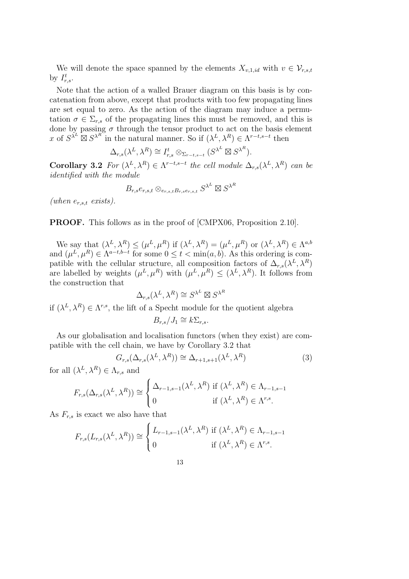We will denote the space spanned by the elements  $X_{v,1,id}$  with  $v \in \mathcal{V}_{r,s,t}$ by  $I_{r,s}^t$ .

Note that the action of a walled Brauer diagram on this basis is by concatenation from above, except that products with too few propagating lines are set equal to zero. As the action of the diagram may induce a permutation  $\sigma \in \Sigma_{r,s}$  of the propagating lines this must be removed, and this is done by passing  $\sigma$  through the tensor product to act on the basis element x of  $S^{\lambda^L} \boxtimes S^{\lambda^R}$  in the natural manner. So if  $(\lambda^L, \lambda^R) \in \Lambda^{r-t,s-t}$  then

$$
\Delta_{r,s}(\lambda^L,\lambda^R) \cong I_{r,s}^t \otimes_{\Sigma_{r-t,s-t}} (S^{\lambda^L} \boxtimes S^{\lambda^R}).
$$

**Corollary 3.2** For  $(\lambda^L, \lambda^R) \in \Lambda^{r-t,s-t}$  the cell module  $\Delta_{r,s}(\lambda^L, \lambda^R)$  can be *identified with the module*

$$
B_{r,s}e_{r,s,t}\otimes_{e_{r,s,t}B_{r,s}e_{r,s,t}}S^{\lambda^L}\boxtimes S^{\lambda^R}
$$

*(when*  $e_{r,s,t}$  *exists)*.

#### PROOF. This follows as in the proof of [CMPX06, Proposition 2.10].

We say that  $(\lambda^L, \lambda^R) \leq (\mu^L, \mu^R)$  if  $(\lambda^L, \lambda^R) = (\mu^L, \mu^R)$  or  $(\lambda^L, \lambda^R) \in \Lambda^{a,b}$ and  $(\mu^L, \mu^R) \in \Lambda^{a-t,b-t}$  for some  $0 \le t < \min(a, b)$ . As this ordering is compatible with the cellular structure, all composition factors of  $\Delta_{r,s}(\lambda^L, \lambda^R)$ are labelled by weights  $(\mu^L, \mu^R)$  with  $(\mu^L, \mu^R) \leq (\lambda^L, \lambda^R)$ . It follows from the construction that

$$
\Delta_{r,s}(\lambda^L,\lambda^R) \cong S^{\lambda^L} \boxtimes S^{\lambda^R}
$$

if  $(\lambda^L, \lambda^R) \in \Lambda^{r,s}$ , the lift of a Specht module for the quotient algebra

$$
B_{r,s}/J_1 \cong k\Sigma_{r,s}.
$$

As our globalisation and localisation functors (when they exist) are compatible with the cell chain, we have by Corollary 3.2 that

$$
G_{r,s}(\Delta_{r,s}(\lambda^L,\lambda^R)) \cong \Delta_{r+1,s+1}(\lambda^L,\lambda^R)
$$
\n(3)

for all  $(\lambda^L, \lambda^R) \in \Lambda_{r,s}$  and

$$
F_{r,s}(\Delta_{r,s}(\lambda^L,\lambda^R)) \cong \begin{cases} \Delta_{r-1,s-1}(\lambda^L,\lambda^R) & \text{if } (\lambda^L,\lambda^R) \in \Lambda_{r-1,s-1} \\ 0 & \text{if } (\lambda^L,\lambda^R) \in \Lambda^{r,s} . \end{cases}
$$

As  $F_{r,s}$  is exact we also have that

$$
F_{r,s}(L_{r,s}(\lambda^L,\lambda^R)) \cong \begin{cases} L_{r-1,s-1}(\lambda^L,\lambda^R) & \text{if } (\lambda^L,\lambda^R) \in \Lambda_{r-1,s-1} \\ 0 & \text{if } (\lambda^L,\lambda^R) \in \Lambda^{r,s} . \end{cases}
$$

$$
\overline{13}
$$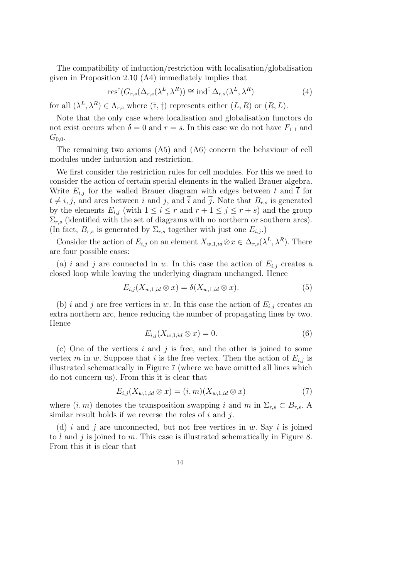The compatibility of induction/restriction with localisation/globalisation given in Proposition 2.10 (A4) immediately implies that

$$
res^{\dagger}(G_{r,s}(\Delta_{r,s}(\lambda^L,\lambda^R)) \cong \text{ind}^{\ddagger}\,\Delta_{r,s}(\lambda^L,\lambda^R) \tag{4}
$$

for all  $(\lambda^L, \lambda^R) \in \Lambda_{r,s}$  where  $(\dagger, \ddagger)$  represents either  $(L, R)$  or  $(R, L)$ .

Note that the only case where localisation and globalisation functors do not exist occurs when  $\delta = 0$  and  $r = s$ . In this case we do not have  $F_{1,1}$  and  $G_{0,0}.$ 

The remaining two axioms (A5) and (A6) concern the behaviour of cell modules under induction and restriction.

We first consider the restriction rules for cell modules. For this we need to consider the action of certain special elements in the walled Brauer algebra. Write  $E_{i,j}$  for the walled Brauer diagram with edges between t and  $\bar{t}$  for  $t \neq i, j$ , and arcs between i and j, and  $\overline{i}$  and  $\overline{j}$ . Note that  $B_{r,s}$  is generated by the elements  $E_{i,j}$  (with  $1 \leq i \leq r$  and  $r + 1 \leq j \leq r + s$ ) and the group  $\Sigma_{r,s}$  (identified with the set of diagrams with no northern or southern arcs). (In fact,  $B_{r,s}$  is generated by  $\Sigma_{r,s}$  together with just one  $E_{i,j}$ .)

Consider the action of  $E_{i,j}$  on an element  $X_{w,1,id} \otimes x \in \Delta_{r,s}(\lambda^L, \lambda^R)$ . There are four possible cases:

(a) i and j are connected in w. In this case the action of  $E_{i,j}$  creates a closed loop while leaving the underlying diagram unchanged. Hence

$$
E_{i,j}(X_{w,1,id} \otimes x) = \delta(X_{w,1,id} \otimes x). \tag{5}
$$

(b) i and j are free vertices in w. In this case the action of  $E_{i,j}$  creates an extra northern arc, hence reducing the number of propagating lines by two. Hence

$$
E_{i,j}(X_{w,1,id} \otimes x) = 0. \tag{6}
$$

(c) One of the vertices  $i$  and  $j$  is free, and the other is joined to some vertex m in w. Suppose that i is the free vertex. Then the action of  $E_{i,j}$  is illustrated schematically in Figure 7 (where we have omitted all lines which do not concern us). From this it is clear that

$$
E_{i,j}(X_{w,1,id} \otimes x) = (i,m)(X_{w,1,id} \otimes x) \tag{7}
$$

where  $(i, m)$  denotes the transposition swapping i and m in  $\Sigma_{r,s} \subset B_{r,s}$ . similar result holds if we reverse the roles of  $i$  and  $j$ .

(d) i and j are unconnected, but not free vertices in w. Say i is joined to  $l$  and  $j$  is joined to  $m$ . This case is illustrated schematically in Figure 8. From this it is clear that

$$
14\,
$$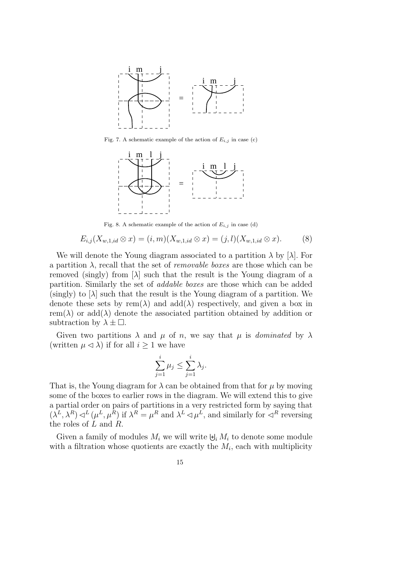

Fig. 7. A schematic example of the action of  $E_{i,j}$  in case (c)



Fig. 8. A schematic example of the action of  $E_{i,j}$  in case (d)

$$
E_{i,j}(X_{w,1,id} \otimes x) = (i,m)(X_{w,1,id} \otimes x) = (j,l)(X_{w,1,id} \otimes x). \tag{8}
$$

We will denote the Young diagram associated to a partition  $\lambda$  by  $[\lambda]$ . For a partition  $\lambda$ , recall that the set of *removable boxes* are those which can be removed (singly) from  $[\lambda]$  such that the result is the Young diagram of a partition. Similarly the set of *addable boxes* are those which can be added  $(\text{singly})$  to  $[\lambda]$  such that the result is the Young diagram of a partition. We denote these sets by rem( $\lambda$ ) and add( $\lambda$ ) respectively, and given a box in rem( $\lambda$ ) or add( $\lambda$ ) denote the associated partition obtained by addition or subtraction by  $\lambda \pm \Box$ .

Given two partitions  $\lambda$  and  $\mu$  of n, we say that  $\mu$  is *dominated* by  $\lambda$ (written  $\mu \leq \lambda$ ) if for all  $i \geq 1$  we have

$$
\sum_{j=1}^{i} \mu_j \le \sum_{j=1}^{i} \lambda_j.
$$

That is, the Young diagram for  $\lambda$  can be obtained from that for  $\mu$  by moving some of the boxes to earlier rows in the diagram. We will extend this to give a partial order on pairs of partitions in a very restricted form by saying that  $(\lambda^L, \lambda^R) \lhd^L (\mu^L, \mu^R)$  if  $\lambda^R = \mu^R$  and  $\lambda^L \lhd \mu^L$ , and similarly for  $\lhd^R$  reversing the roles of L and R.

Given a family of modules  $M_i$  we will write  $\biguplus_i M_i$  to denote some module with a filtration whose quotients are exactly the  $M_i$ , each with multiplicity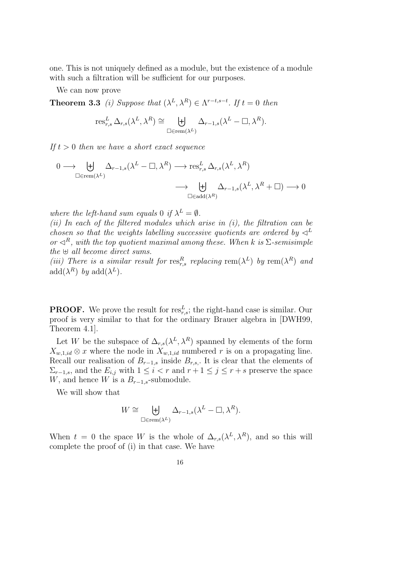one. This is not uniquely defined as a module, but the existence of a module with such a filtration will be sufficient for our purposes.

We can now prove

**Theorem 3.3** *(i)* Suppose that  $(\lambda^L, \lambda^R) \in \Lambda^{r-t,s-t}$ . If  $t = 0$  then

$$
\operatorname{res}^L_{r,s}\Delta_{r,s}(\lambda^L,\lambda^R)\cong \biguplus_{\square\in\operatorname{rem}(\lambda^L)}\Delta_{r-1,s}(\lambda^L-\square,\lambda^R).
$$

*If*  $t > 0$  *then we have a short exact sequence* 

$$
\begin{aligned}\n0 &\longrightarrow \biguplus_{\square \in \text{rem}(\lambda^L)} \Delta_{r-1,s}(\lambda^L - \square, \lambda^R) \longrightarrow \text{res}_{r,s}^L \Delta_{r,s}(\lambda^L, \lambda^R) \\
&\longrightarrow \biguplus_{\square \in \text{add}(\lambda^R)} \Delta_{r-1,s}(\lambda^L, \lambda^R + \square) \longrightarrow 0\n\end{aligned}
$$

*where the left-hand sum equals* 0 *if*  $\lambda^L = \emptyset$ .

*(ii) In each of the filtered modules which arise in (i), the filtration can be chosen so that the weights labelling successive quotients are ordered by*  $\triangleleft^L$ *or*  $\lhd^R$ *, with the top quotient maximal among these. When k is*  $\Sigma$ -semisimple *the* ⊎ *all become direct sums.*

(*iii*) There is a similar result for  $res_{r,s}^R$  replacing  $rem(\lambda^L)$  by  $rem(\lambda^R)$  and  $\mathrm{add}(\lambda^R)$  *by*  $\mathrm{add}(\lambda^L)$ *.* 

**PROOF.** We prove the result for  $res_{r,s}^L$ ; the right-hand case is similar. Our proof is very similar to that for the ordinary Brauer algebra in [DWH99, Theorem 4.1].

Let W be the subspace of  $\Delta_{r,s}(\lambda^L, \lambda^R)$  spanned by elements of the form  $X_{w,1,id} \otimes x$  where the node in  $X_{w,1,id}$  numbered r is on a propagating line. Recall our realisation of  $B_{r-1,s}$  inside  $B_{r,s}$ . It is clear that the elements of  $\Sigma_{r-1,s}$ , and the  $E_{i,j}$  with  $1 \leq i < r$  and  $r+1 \leq j \leq r+s$  preserve the space W, and hence W is a  $B_{r-1,s}$ -submodule.

We will show that

$$
W \cong \biguplus_{\Box \in \text{rem}(\lambda^L)} \Delta_{r-1,s}(\lambda^L - \Box, \lambda^R).
$$

When  $t = 0$  the space W is the whole of  $\Delta_{r,s}(\lambda^L, \lambda^R)$ , and so this will complete the proof of (i) in that case. We have

$$
16\,
$$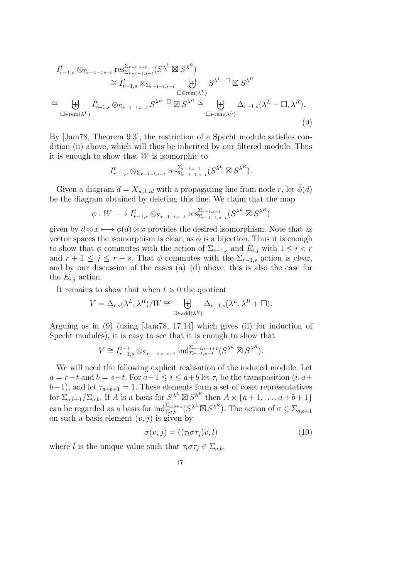$$
I_{r-1,s}^{t} \otimes_{\Sigma_{r-1-t,s-t}} \text{res}_{\Sigma_{r-t-1,s-t}}^{\Sigma_{r-t,s-t}}(S^{\lambda^{L}} \boxtimes S^{\lambda^{R}})
$$
  
\n
$$
\cong I_{r-1,s}^{t} \otimes_{\Sigma_{r-1-t,s-t}} \biguplus_{\square \in \text{rem}(\lambda^{L})} S^{\lambda^{L}-\square} \boxtimes S^{\lambda^{R}}
$$
  
\n
$$
\cong \biguplus_{\square \in \text{rem}(\lambda^{L})} I_{r-1,s}^{t} \otimes_{\Sigma_{r-1-t,s-t}} S^{\lambda^{L}-\square} \boxtimes S^{\lambda^{R}} \cong \biguplus_{\square \in \text{rem}(\lambda^{L})} \Delta_{r-1,s}(\lambda^{L}-\square, \lambda^{R}).
$$
  
\n(9)

By [Jam78, Theorem 9.3], the restriction of a Specht module satisfies condition (ii) above, which will thus be inherited by our filtered module. Thus it is enough to show that  $W$  is isomorphic to

$$
I_{r-1,s}^{t} \otimes_{\Sigma_{r-1-t,s-t}} \text{res}_{\Sigma_{r-t-1,s-t}}^{\Sigma_{r-t,s-t}} (S^{\lambda^L} \boxtimes S^{\lambda^R}).
$$

Given a diagram  $d = X_{w,1,id}$  with a propagating line from node r, let  $\phi(d)$ be the diagram obtained by deleting this line. We claim that the map

$$
\phi: W \longrightarrow I_{r-1,s}^t \otimes_{\Sigma_{r-1-t,s-t}} \text{res}_{\Sigma_{r-t-1,s-t}}^{\Sigma_{r-t,s-t}}(S^{\lambda^L} \boxtimes S^{\lambda^R})
$$

given by  $d \otimes x \longmapsto \bar{\phi}(d) \otimes x$  provides the desired isomorphism. Note that as vector spaces the isomorphism is clear, as  $\bar{\phi}$  is a bijection. Thus it is enough to show that  $\phi$  commutes with the action of  $\Sigma_{r-1,s}$  and  $E_{i,j}$  with  $1 \leq i < r$ and  $r + 1 \leq j \leq r + s$ . That  $\phi$  commutes with the  $\Sigma_{r-1,s}$  action is clear, and by our discussion of the cases  $(a)$ – $(d)$  above, this is also the case for the  $E_{i,j}$  action.

It remains to show that when  $t > 0$  the quotient

$$
V = \Delta_{r,s}(\lambda^L, \lambda^R)/W \cong \biguplus_{\square \in \text{add}(\lambda^R)} \Delta_{r-1,s}(\lambda^L, \lambda^R + \square).
$$

Arguing as in (9) (using [Jam78, 17.14] which gives (ii) for induction of Specht modules), it is easy to see that it is enough to show that

$$
V \cong I_{r-1,s}^{t-1} \otimes_{\Sigma_{r-1,s-t+1}} \text{ind}_{\Sigma_{r-t,s-t}}^{\Sigma_{r-t,s-t+1}}(S^{\lambda^L} \boxtimes S^{\lambda^R}).
$$

We will need the following explicit realisation of the induced module. Let  $a = r-t$  and  $b = s-t$ . For  $a+1 \leq i \leq a+b$  let  $\tau_i$  be the transposition  $(i, a+)$  $(b+1)$ , and let  $\tau_{a+b+1} = 1$ . These elements form a set of coset representatives for  $\Sigma_{a,b+1}/\Sigma_{a,b}$ . If A is a basis for  $S^{\lambda^L} \boxtimes S^{\lambda^R}$  then  $A \times \{a+1,\ldots,a+b+1\}$ can be regarded as a basis for  $\text{ind}_{\Sigma a,b}^{\Sigma_{a,b+1}}(S^{\lambda^L} \boxtimes S^{\lambda^R})$ . The action of  $\sigma \in \Sigma_{a,b+1}$ on such a basis element  $(v, j)$  is given by

$$
\sigma(v,j) = ((\tau_l \sigma \tau_j)v, l) \tag{10}
$$

where l is the unique value such that  $\tau_i \sigma \tau_j \in \Sigma_{a,b}$ .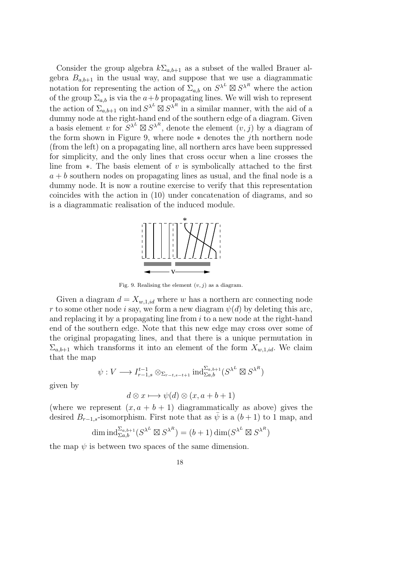Consider the group algebra  $k\Sigma_{a,b+1}$  as a subset of the walled Brauer algebra  $B_{a,b+1}$  in the usual way, and suppose that we use a diagrammatic notation for representing the action of  $\Sigma_{a,b}$  on  $S^{\lambda^L} \boxtimes S^{\lambda^R}$  where the action of the group  $\sum_{a,b}$  is via the  $a+b$  propagating lines. We will wish to represent the action of  $\Sigma_{a,b+1}$  on ind  $S^{\lambda^L} \boxtimes S^{\lambda^R}$  in a similar manner, with the aid of a dummy node at the right-hand end of the southern edge of a diagram. Given a basis element v for  $S^{\lambda^L} \boxtimes S^{\lambda^R}$ , denote the element  $(v, j)$  by a diagram of the form shown in Figure 9, where node ∗ denotes the jth northern node (from the left) on a propagating line, all northern arcs have been suppressed for simplicity, and the only lines that cross occur when a line crosses the line from  $\ast$ . The basis element of v is symbolically attached to the first  $a + b$  southern nodes on propagating lines as usual, and the final node is a dummy node. It is now a routine exercise to verify that this representation coincides with the action in (10) under concatenation of diagrams, and so is a diagrammatic realisation of the induced module.



Fig. 9. Realising the element  $(v, j)$  as a diagram.

Given a diagram  $d = X_{w,1,id}$  where w has a northern arc connecting node r to some other node i say, we form a new diagram  $\psi(d)$  by deleting this arc, and replacing it by a propagating line from  $i$  to a new node at the right-hand end of the southern edge. Note that this new edge may cross over some of the original propagating lines, and that there is a unique permutation in  $\Sigma_{a,b+1}$  which transforms it into an element of the form  $X_{w,1,id}$ . We claim that the map

$$
\psi: V \longrightarrow I_{r-1,s}^{t-1} \otimes_{\Sigma_{r-t,s-t+1}} \text{ind}_{\Sigma a,b}^{\Sigma_{a,b+1}}(S^{\lambda^L} \boxtimes S^{\lambda^R})
$$

given by

$$
d \otimes x \longmapsto \psi(d) \otimes (x, a+b+1)
$$

(where we represent  $(x, a + b + 1)$  diagrammatically as above) gives the desired  $B_{r-1,s}$ -isomorphism. First note that as  $\bar{\psi}$  is a  $(b+1)$  to 1 map, and

$$
\dim \mathrm{ind}_{\Sigma a,b}^{\Sigma_{a,b+1}}(S^{\lambda^L} \boxtimes S^{\lambda^R}) = (b+1) \dim (S^{\lambda^L} \boxtimes S^{\lambda^R})
$$

the map  $\psi$  is between two spaces of the same dimension.

18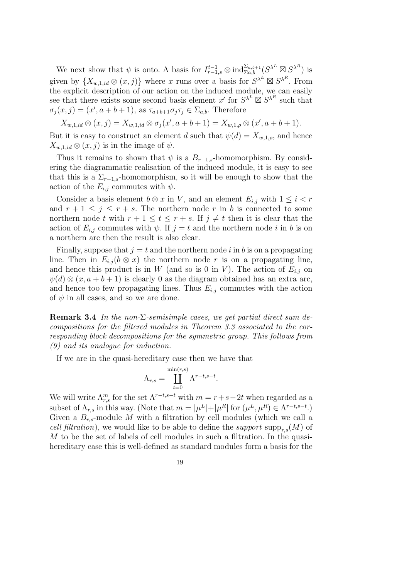We next show that  $\psi$  is onto. A basis for  $I_{r-1,s}^{t-1} \otimes \text{ind}_{\Sigma a,b}^{\Sigma a,b+1}(S^{\lambda^L} \boxtimes S^{\lambda^R})$  is given by  $\{X_{w,1,id} \otimes (x,j)\}\$  where x runs over a basis for  $S^{\lambda^L} \boxtimes S^{\lambda^R}\$ . From the explicit description of our action on the induced module, we can easily see that there exists some second basis element x' for  $S^{\lambda^L} \boxtimes S^{\lambda^R}$  such that  $\sigma_j(x, j) = (x', a+b+1)$ , as  $\tau_{a+b+1} \sigma_j \tau_j \in \Sigma_{a,b}$ . Therefore

 $X_{w,1,id} \otimes (x,j) = X_{w,1,id} \otimes \sigma_j(x',a+b+1) = X_{w,1,\rho} \otimes (x',a+b+1).$ 

But it is easy to construct an element d such that  $\psi(d) = X_{w,1,\rho}$ , and hence  $X_{w,1,id} \otimes (x,j)$  is in the image of  $\psi$ .

Thus it remains to shown that  $\psi$  is a  $B_{r-1,s}$ -homomorphism. By considering the diagrammatic realisation of the induced module, it is easy to see that this is a  $\Sigma_{r-1,s}$ -homomorphism, so it will be enough to show that the action of the  $E_{i,j}$  commutes with  $\psi$ .

Consider a basis element  $b \otimes x$  in V, and an element  $E_{i,j}$  with  $1 \leq i < r$ and  $r + 1 \leq j \leq r + s$ . The northern node r in b is connected to some northern node t with  $r + 1 \le t \le r + s$ . If  $j \ne t$  then it is clear that the action of  $E_{i,j}$  commutes with  $\psi$ . If  $j = t$  and the northern node i in b is on a northern arc then the result is also clear.

Finally, suppose that  $j = t$  and the northern node i in b is on a propagating line. Then in  $E_{i,j} (b \otimes x)$  the northern node r is on a propagating line, and hence this product is in W (and so is 0 in V). The action of  $E_{i,j}$  on  $\psi(d) \otimes (x, a+b+1)$  is clearly 0 as the diagram obtained has an extra arc, and hence too few propagating lines. Thus  $E_{i,j}$  commutes with the action of  $\psi$  in all cases, and so we are done.

Remark 3.4 *In the non-*Σ*-semisimple cases, we get partial direct sum decompositions for the filtered modules in Theorem 3.3 associated to the corresponding block decompositions for the symmetric group. This follows from (9) and its analogue for induction.*

If we are in the quasi-hereditary case then we have that

$$
\Lambda_{r,s} = \coprod_{t=0}^{\min(r,s)} \Lambda^{r-t,s-t}.
$$

We will write  $\Lambda_{r,s}^m$  for the set  $\Lambda^{r-t,s-t}$  with  $m = r+s-2t$  when regarded as a subset of  $\Lambda_{r,s}$  in this way. (Note that  $m = |\mu^L| + |\mu^R|$  for  $(\mu^L, \mu^R) \in \Lambda^{r-t,s-t}$ .) Given a  $B_{r,s}$ -module M with a filtration by cell modules (which we call a *cell filtration*), we would like to be able to define the *support* supp<sub>r</sub><sub>s</sub> $(M)$  of M to be the set of labels of cell modules in such a filtration. In the quasihereditary case this is well-defined as standard modules form a basis for the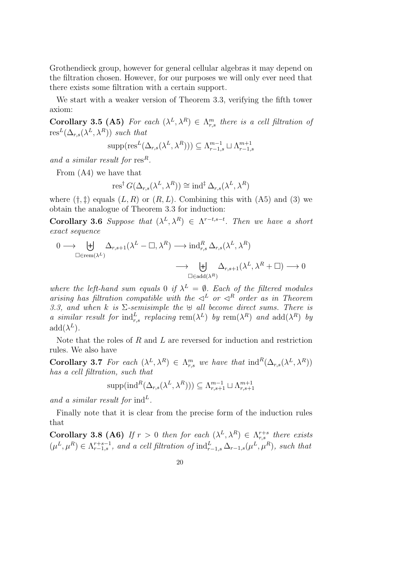Grothendieck group, however for general cellular algebras it may depend on the filtration chosen. However, for our purposes we will only ever need that there exists some filtration with a certain support.

We start with a weaker version of Theorem 3.3, verifying the fifth tower axiom:

Corollary 3.5 (A5) *For each*  $(\lambda^L, \lambda^R) \in \Lambda_{r,s}^m$  *there is a cell filtration of*  $res^L(\Delta_{r,s}(\lambda^L,\lambda^R))$  *such that* 

$$
supp(\text{res}^L(\Delta_{r,s}(\lambda^L,\lambda^R))) \subseteq \Lambda_{r-1,s}^{m-1} \sqcup \Lambda_{r-1,s}^{m+1}
$$

*and a similar result for* res<sup>R</sup>.

From (A4) we have that

$$
\operatorname{res}^{\dagger} G(\Delta_{r,s}(\lambda^L, \lambda^R)) \cong \operatorname{ind}^{\ddagger} \Delta_{r,s}(\lambda^L, \lambda^R)
$$

where  $(\dagger, \dagger)$  equals  $(L, R)$  or  $(R, L)$ . Combining this with  $(A5)$  and  $(B)$  we obtain the analogue of Theorem 3.3 for induction:

Corollary 3.6 *Suppose that*  $(\lambda^L, \lambda^R) \in \Lambda^{r-t,s-t}$ . Then we have a short *exact sequence*

$$
\begin{aligned}\n0 &\longrightarrow \biguplus_{\Box \in \text{rem}(\lambda^L)} \Delta_{r,s+1}(\lambda^L - \Box, \lambda^R) \longrightarrow \text{ind}_{r,s}^R \,\Delta_{r,s}(\lambda^L, \lambda^R) \\
&\longrightarrow \biguplus_{\Box \in \text{add}(\lambda^R)} \Delta_{r,s+1}(\lambda^L, \lambda^R + \Box) \longrightarrow 0\n\end{aligned}
$$

where the left-hand sum equals 0 if  $\lambda^L = \emptyset$ . Each of the filtered modules *arising has filtration compatible with the*  $\triangleleft^L$  *or*  $\triangleleft^R$  *order as in Theorem 3.3, and when* k *is* Σ*-semisimple the* ⊎ *all become direct sums. There is a similar result for*  $\text{ind}_{r,s}^L$  *replacing*  $\text{rem}(\lambda^L)$  *by*  $\text{rem}(\lambda^R)$  *and*  $\text{add}(\lambda^R)$  *by*  $add(\lambda^L)$ .

Note that the roles of R and L are reversed for induction and restriction rules. We also have

Corollary 3.7 *For each*  $(\lambda^L, \lambda^R) \in \Lambda^m_{r,s}$  *we have that*  $\text{ind}^R(\Delta_{r,s}(\lambda^L, \lambda^R))$ *has a cell filtration, such that*

$$
\mathrm{supp}(\mathrm{ind}^R(\Delta_{r,s}(\lambda^L,\lambda^R))) \subseteq \Lambda_{r,s+1}^{m-1} \sqcup \Lambda_{r,s+1}^{m+1}
$$

and a similar result for  $\mathrm{ind}^L$ .

Finally note that it is clear from the precise form of the induction rules that

Corollary 3.8 (A6) If  $r > 0$  then for each  $(\lambda^L, \lambda^R) \in \Lambda_{r,s}^{r+s}$  there exists  $(\mu^L, \mu^R) \in \Lambda^{r+s-1}_{r-1,s}$ , and a cell filtration of  $\mathrm{ind}_{r-1,s}^L \Delta_{r-1,s}(\mu^L, \mu^R)$ , such that

$$
20\quad
$$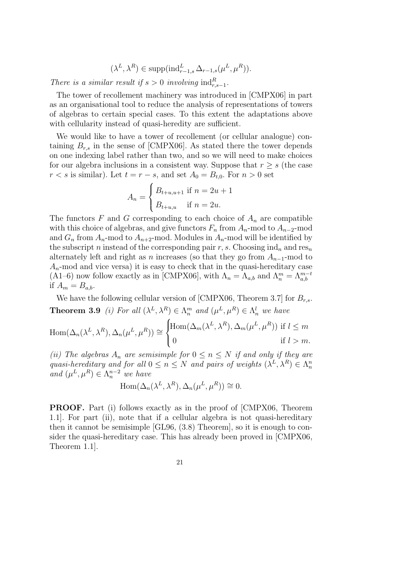$$
(\lambda^{L}, \lambda^{R}) \in \text{supp}(\text{ind}_{r-1,s}^{L} \Delta_{r-1,s}(\mu^{L}, \mu^{R})).
$$

*There is a similar result if*  $s > 0$  *involving*  $\text{ind}_{r,s-1}^R$ .

The tower of recollement machinery was introduced in [CMPX06] in part as an organisational tool to reduce the analysis of representations of towers of algebras to certain special cases. To this extent the adaptations above with cellularity instead of quasi-heredity are sufficient.

We would like to have a tower of recollement (or cellular analogue) containing  $B_{r,s}$  in the sense of [CMPX06]. As stated there the tower depends on one indexing label rather than two, and so we will need to make choices for our algebra inclusions in a consistent way. Suppose that  $r \geq s$  (the case  $r < s$  is similar). Let  $t = r - s$ , and set  $A_0 = B_{t,0}$ . For  $n > 0$  set

$$
A_n = \begin{cases} B_{t+u,u+1} & \text{if } n = 2u + 1 \\ B_{t+u,u} & \text{if } n = 2u. \end{cases}
$$

The functors  $F$  and  $G$  corresponding to each choice of  $A_n$  are compatible with this choice of algebras, and give functors  $F_n$  from  $A_n$ -mod to  $A_{n-2}$ -mod and  $G_n$  from  $A_n$ -mod to  $A_{n+2}$ -mod. Modules in  $A_n$ -mod will be identified by the subscript n instead of the corresponding pair  $r, s$ . Choosing ind<sub>n</sub> and res<sub>n</sub> alternately left and right as n increases (so that they go from  $A_{n-1}$ -mod to  $A_n$ -mod and vice versa) it is easy to check that in the quasi-hereditary case (A1–6) now follow exactly as in [CMPX06], with  $\Lambda_n = \Lambda_{a,b}$  and  $\Lambda_n^m = \Lambda_{a,b}^{m-t}$ if  $A_m = B_{a,b}$ .

We have the following cellular version of [CMPX06, Theorem 3.7] for  $B_{r,s}$ . **Theorem 3.9** *(i)* For all  $(\lambda^L, \lambda^R) \in \Lambda_n^m$  and  $(\mu^L, \mu^R) \in \Lambda_n^l$  we have

$$
\operatorname{Hom}(\Delta_n(\lambda^L, \lambda^R), \Delta_n(\mu^L, \mu^R)) \cong \begin{cases} \operatorname{Hom}(\Delta_m(\lambda^L, \lambda^R), \Delta_m(\mu^L, \mu^R)) & \text{if } l \leq m \\ 0 & \text{if } l > m. \end{cases}
$$

*(ii)* The algebras  $A_n$  are semisimple for  $0 \le n \le N$  if and only if they are *quasi-hereditary and for all*  $0 \le n \le N$  *and pairs of weights*  $(\lambda^L, \lambda^R) \in \Lambda^n$ and  $(\mu^L, \mu^R) \in \Lambda_n^{n-2}$  *we have* 

$$
\operatorname{Hom}(\Delta_n(\lambda^L, \lambda^R), \Delta_n(\mu^L, \mu^R)) \cong 0.
$$

PROOF. Part (i) follows exactly as in the proof of [CMPX06, Theorem 1.1]. For part (ii), note that if a cellular algebra is not quasi-hereditary then it cannot be semisimple [GL96, (3.8) Theorem], so it is enough to consider the quasi-hereditary case. This has already been proved in [CMPX06, Theorem 1.1].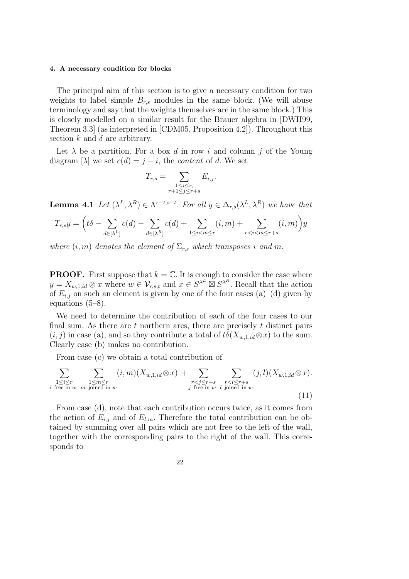#### 4. A necessary condition for blocks

The principal aim of this section is to give a necessary condition for two weights to label simple  $B_{r,s}$  modules in the same block. (We will abuse terminology and say that the weights themselves are in the same block.) This is closely modelled on a similar result for the Brauer algebra in [DWH99, Theorem 3.3] (as interpreted in [CDM05, Proposition 4.2]). Throughout this section k and  $\delta$  are arbitrary.

Let  $\lambda$  be a partition. For a box d in row i and column j of the Young diagram  $[\lambda]$  we set  $c(d) = j - i$ , the *content* of d. We set

$$
T_{r,s} = \sum_{\substack{1 \le i \le r, \\ r+1 \le j \le r+s}} E_{i,j}.
$$

**Lemma 4.1** Let  $(\lambda^L, \lambda^R) \in \Lambda^{r-t,s-t}$ . For all  $y \in \Delta_{r,s}(\lambda^L, \lambda^R)$  we have that

$$
T_{r,s}y = \left(t\delta - \sum_{d \in [\lambda^L]} c(d) - \sum_{d \in [\lambda^R]} c(d) + \sum_{1 \le i < m \le r} (i, m) + \sum_{r < i < m \le r+s} (i, m)\right)y
$$

*where*  $(i, m)$  *denotes the element of*  $\Sigma_{r,s}$  *which transposes i and m*.

**PROOF.** First suppose that  $k = \mathbb{C}$ . It is enough to consider the case where  $y = X_{w,1,id} \otimes x$  where  $w \in \mathcal{V}_{r,s,t}$  and  $x \in S^{\lambda^L} \boxtimes S^{\lambda^R}$ . Recall that the action of  $E_{i,j}$  on such an element is given by one of the four cases (a)–(d) given by equations (5–8).

We need to determine the contribution of each of the four cases to our final sum. As there are  $t$  northern arcs, there are precisely  $t$  distinct pairs  $(i, j)$  in case (a), and so they contribute a total of  $t\delta(X_{w,1},i\delta(x))$  to the sum. Clearly case (b) makes no contribution.

From case (c) we obtain a total contribution of

$$
\sum_{\substack{1 \leq i \leq r \\ i \text{ free in } w}} \sum_{\substack{1 \leq m \leq r \\ m \text{ joined in } w}} (i, m)(X_{w, 1, id} \otimes x) + \sum_{\substack{r < j \leq r + s \\ j \text{ free in } w}} \sum_{\substack{r < l \leq r + s \\ l \text{ joined in } w}} (j, l)(X_{w, 1, id} \otimes x).
$$
\n(11)

From case (d), note that each contribution occurs twice, as it comes from the action of  $E_{i,j}$  and of  $E_{l,m}$ . Therefore the total contribution can be obtained by summing over all pairs which are not free to the left of the wall, together with the corresponding pairs to the right of the wall. This corresponds to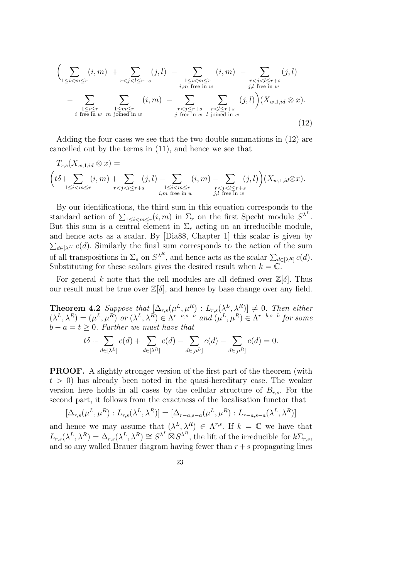$$
\left(\sum_{1\leq i < m \leq r} (i, m) + \sum_{r < j < l \leq r+s} (j, l) - \sum_{\substack{1 \leq i < m \leq r \\ i, m \text{ free in } w}} (i, m) - \sum_{\substack{r < j < l \leq r+s \\ j, l \text{ free in } w}} (j, l) - \sum_{\substack{1 \leq i < m \\ j, l \text{ free in } w}} (j, l) - \sum_{\substack{r < j \leq r+s \\ j \text{ free in } w}} (j, l) - \sum_{\substack{r < l \leq r+s \\ j \text{ free in } w}} (j, l) - \sum_{\substack{r < l \leq r+s \\ j \text{ free in } w}} (j, l) - \sum_{\substack{r < j \leq r+s \\ j \text{ free in } w}} (j, l) - \sum_{\substack{r < l \leq r+s \\ j \text{ free in } w}} (j, l) - \sum_{\substack{r < l \leq r+s \\ j \text{ free in } w}} (j, l) - \sum_{\substack{r < l \leq r+s \\ j \text{ free in } w}} (j, l) - \sum_{\substack{r < l \leq r+s \\ j \text{ free in } w}} (j, l) - \sum_{\substack{r < l \leq r+s \\ j \text{ free in } w}} (j, l) - \sum_{\substack{r < l \leq r+s \\ j \text{ free in } w}} (j, l) - \sum_{\substack{r < l \leq r+s \\ j \text{ free in } w}} (j, l) - \sum_{\substack{r < l \leq r+s \\ j \text{ free in } w}} (j, l) - \sum_{\substack{r < l \leq r+s \\ j \text{ free in } w}} (j, l) - \sum_{\substack{r < l \leq r+s \\ j \text{ free in } w}} (j, l) - \sum_{\substack{r < l \leq r+s \\ j \text{ free in } w}} (j, l) - \sum_{\substack{r < l \leq r+s \\ j \text{ free in } w}} (j, l) - \sum_{\substack{r < l \leq r+s \\ j \text{ free in } w}} (j, l) - \sum_{\substack{r < l \leq r+s \\ j \text{ free in } w}} (j, l) - \sum_{\substack
$$

Adding the four cases we see that the two double summations in (12) are cancelled out by the terms in (11), and hence we see that

$$
T_{r,s}(X_{w,1,id} \otimes x) =
$$
  

$$
\left(t\delta + \sum_{1 \leq i < m \leq r} (i,m) + \sum_{r < j < l \leq r+s} (j,l) - \sum_{\substack{1 \leq i < m \leq r \\ i,m \text{ free in } w}} (i,m) - \sum_{\substack{r < j < l \leq r+s \\ j,l \text{ free in } w}} (j,l)\right)(X_{w,1,id} \otimes x).
$$

By our identifications, the third sum in this equation corresponds to the standard action of  $\sum_{1 \leq i < m \leq r} (i, m)$  in  $\Sigma_r$  on the first Specht module  $S^{\lambda^L}$ . But this sum is a central element in  $\Sigma_r$  acting on an irreducible module, and hence acts as a scalar. By [Dia88, Chapter 1] this scalar is given by  $\sum_{d \in [\lambda^L]} c(d)$ . Similarly the final sum corresponds to the action of the sum of all transpositions in  $\Sigma_s$  on  $S^{\lambda^R}$ , and hence acts as the scalar  $\sum_{d \in [\lambda^R]} c(d)$ . Substituting for these scalars gives the desired result when  $k = \mathbb{C}$ .

For general k note that the cell modules are all defined over  $\mathbb{Z}[\delta]$ . Thus our result must be true over  $\mathbb{Z}[\delta]$ , and hence by base change over any field.

**Theorem 4.2** Suppose that  $[\Delta_{r,s}(\mu^L, \mu^R) : L_{r,s}(\lambda^L, \lambda^R)] \neq 0$ . Then either  $(\lambda^L, \lambda^R) = (\mu^L, \mu^R)$  or  $(\lambda^L, \lambda^R) \in \Lambda^{r-a,s-a}$  and  $(\mu^L, \mu^R) \in \Lambda^{r-b,s-b}$  for some  $b - a = t \geq 0$ . Further we must have that

$$
t\delta + \sum_{d \in [\lambda^L]} c(d) + \sum_{d \in [\lambda^R]} c(d) - \sum_{d \in [\mu^L]} c(d) - \sum_{d \in [\mu^R]} c(d) = 0.
$$

PROOF. A slightly stronger version of the first part of the theorem (with  $t > 0$ ) has already been noted in the quasi-hereditary case. The weaker version here holds in all cases by the cellular structure of  $B_{r,s}$ . For the second part, it follows from the exactness of the localisation functor that

$$
[\Delta_{r,s}(\mu^L, \mu^R) : L_{r,s}(\lambda^L, \lambda^R)] = [\Delta_{r-a,s-a}(\mu^L, \mu^R) : L_{r-a,s-a}(\lambda^L, \lambda^R)]
$$

and hence we may assume that  $(\lambda^L, \lambda^R) \in \Lambda^{r,s}$ . If  $k = \mathbb{C}$  we have that  $L_{r,s}(\lambda^L, \lambda^R) = \Delta_{r,s}(\lambda^L, \lambda^R) \cong S^{\lambda^L} \boxtimes S^{\lambda^R}$ , the lift of the irreducible for  $k\Sigma_{r,s}$ , and so any walled Brauer diagram having fewer than  $r+s$  propagating lines

$$
\overline{23}
$$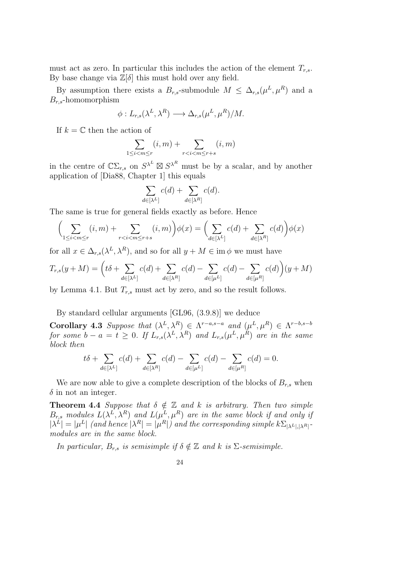must act as zero. In particular this includes the action of the element  $T_{r,s}$ . By base change via  $\mathbb{Z}[\delta]$  this must hold over any field.

By assumption there exists a  $B_{r,s}$ -submodule  $M \leq \Delta_{r,s}(\mu^L, \mu^R)$  and a  $B_{r,s}$ -homomorphism

$$
\phi: L_{r,s}(\lambda^L, \lambda^R) \longrightarrow \Delta_{r,s}(\mu^L, \mu^R)/M.
$$

If  $k = \mathbb{C}$  then the action of

$$
\sum_{1 \le i < m \le r} (i, m) + \sum_{r < i < m \le r + s} (i, m)
$$

in the centre of  $\mathbb{C}\Sigma_{r,s}$  on  $S^{\lambda^L} \boxtimes S^{\lambda^R}$  must be by a scalar, and by another application of [Dia88, Chapter 1] this equals

$$
\sum_{d \in [\lambda^L]} c(d) + \sum_{d \in [\lambda^R]} c(d).
$$

The same is true for general fields exactly as before. Hence

$$
\left(\sum_{1 \le i < m \le r} (i, m) + \sum_{r < i < m \le r + s} (i, m)\right) \phi(x) = \left(\sum_{d \in [\lambda^L]} c(d) + \sum_{d \in [\lambda^R]} c(d)\right) \phi(x)
$$

for all  $x \in \Delta_{r,s}(\lambda^L, \lambda^R)$ , and so for all  $y + M \in \text{im } \phi$  we must have

$$
T_{r,s}(y+M) = \left(t\delta + \sum_{d \in [\lambda^L]} c(d) + \sum_{d \in [\lambda^R]} c(d) - \sum_{d \in [\mu^L]} c(d) - \sum_{d \in [\mu^R]} c(d)\right)(y+M)
$$

by Lemma 4.1. But  $T_{r,s}$  must act by zero, and so the result follows.

By standard cellular arguments [GL96, (3.9.8)] we deduce

Corollary 4.3 *Suppose that*  $(\lambda^L, \lambda^R) \in \Lambda^{r-a,s-a}$  and  $(\mu^L, \mu^R) \in \Lambda^{r-b,s-b}$ *for some*  $b - a = t \geq 0$ . If  $L_{r,s}(\lambda^L, \lambda^R)$  and  $L_{r,s}(\mu^L, \mu^R)$  are in the same *block then*

$$
t\delta + \sum_{d \in [\lambda^L]} c(d) + \sum_{d \in [\lambda^R]} c(d) - \sum_{d \in [\mu^L]} c(d) - \sum_{d \in [\mu^R]} c(d) = 0.
$$

We are now able to give a complete description of the blocks of  $B_{r,s}$  when  $\delta$  in not an integer.

**Theorem 4.4** *Suppose that*  $\delta \notin \mathbb{Z}$  *and*  $k$  *is arbitrary. Then two simple*  $B_{r,s}$  modules  $L(\lambda^L, \lambda^R)$  and  $L(\mu^L, \mu^R)$  are in the same block if and only if  $|\lambda^L| = |\mu^L|$  (and hence  $|\lambda^R| = |\mu^R|$ ) and the corresponding simple  $k \Sigma_{|\lambda^L|, |\lambda^R|}$ *modules are in the same block.*

*In particular,*  $B_{r,s}$  *is semisimple if*  $\delta \notin \mathbb{Z}$  *and*  $k$  *is*  $\Sigma$ *-semisimple.*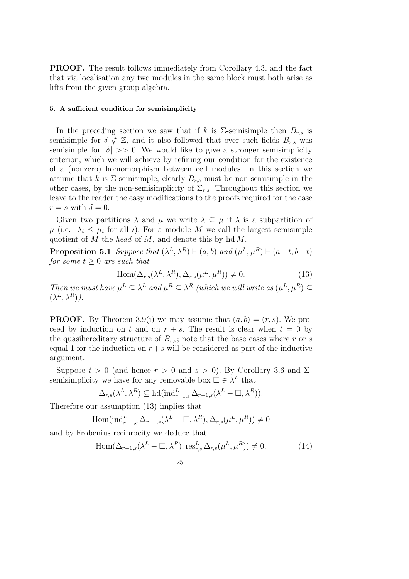PROOF. The result follows immediately from Corollary 4.3, and the fact that via localisation any two modules in the same block must both arise as lifts from the given group algebra.

#### 5. A sufficient condition for semisimplicity

In the preceding section we saw that if k is  $\Sigma$ -semisimple then  $B_{r,s}$  is semisimple for  $\delta \notin \mathbb{Z}$ , and it also followed that over such fields  $B_{r,s}$  was semisimple for  $|\delta| \gg 0$ . We would like to give a stronger semisimplicity criterion, which we will achieve by refining our condition for the existence of a (nonzero) homomorphism between cell modules. In this section we assume that k is  $\Sigma$ -semisimple; clearly  $B_{r,s}$  must be non-semisimple in the other cases, by the non-semisimplicity of  $\Sigma_{r,s}$ . Throughout this section we leave to the reader the easy modifications to the proofs required for the case  $r = s$  with  $\delta = 0$ .

Given two partitions  $\lambda$  and  $\mu$  we write  $\lambda \subseteq \mu$  if  $\lambda$  is a subpartition of  $\mu$  (i.e.  $\lambda_i \leq \mu_i$  for all i). For a module M we call the largest semisimple quotient of M the *head* of M, and denote this by hd M.

**Proposition 5.1** *Suppose that*  $(\lambda^L, \lambda^R) \vdash (a, b)$  *and*  $(\mu^L, \mu^R) \vdash (a - t, b - t)$ *for some*  $t \geq 0$  *are such that* 

$$
Hom(\Delta_{r,s}(\lambda^L, \lambda^R), \Delta_{r,s}(\mu^L, \mu^R)) \neq 0.
$$
\n(13)

*Then we must have*  $\mu^L \subseteq \lambda^L$  *and*  $\mu^R \subseteq \lambda^R$  *(which we will write as*  $(\mu^L, \mu^R) \subseteq$  $(\lambda^L, \lambda^R)$ ).

**PROOF.** By Theorem 3.9(i) we may assume that  $(a, b) = (r, s)$ . We proceed by induction on t and on  $r + s$ . The result is clear when  $t = 0$  by the quasihereditary structure of  $B_{r,s}$ ; note that the base cases where r or s equal 1 for the induction on  $r + s$  will be considered as part of the inductive argument.

Suppose  $t > 0$  (and hence  $r > 0$  and  $s > 0$ ). By Corollary 3.6 and  $\Sigma$ semisimplicity we have for any removable box  $\Box \in \lambda^L$  that

$$
\Delta_{r,s}(\lambda^L, \lambda^R) \subseteq \text{hd}(\text{ind}_{r-1,s}^L \Delta_{r-1,s}(\lambda^L - \Box, \lambda^R)).
$$

Therefore our assumption (13) implies that

$$
\operatorname{Hom}(\operatorname{ind}_{r-1,s}^L \Delta_{r-1,s}(\lambda^L - \square, \lambda^R), \Delta_{r,s}(\mu^L, \mu^R)) \neq 0
$$

and by Frobenius reciprocity we deduce that

$$
\text{Hom}(\Delta_{r-1,s}(\lambda^L - \Box, \lambda^R), \text{res}_{r,s}^L \Delta_{r,s}(\mu^L, \mu^R)) \neq 0. \tag{14}
$$

$$
25\,
$$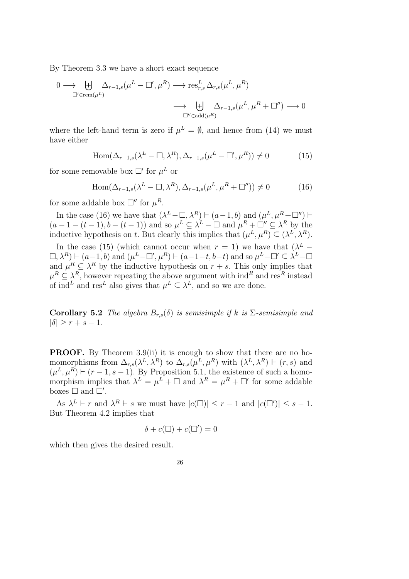By Theorem 3.3 we have a short exact sequence

$$
\begin{aligned}\n0 &\longrightarrow \biguplus_{\square' \in \text{rem}(\mu^L)} \Delta_{r-1,s}(\mu^L - \square', \mu^R) \longrightarrow \text{res}_{r,s}^L \Delta_{r,s}(\mu^L, \mu^R) \\
&\longrightarrow \biguplus_{\square'' \in \text{add}(\mu^R)} \Delta_{r-1,s}(\mu^L, \mu^R + \square'') \longrightarrow 0\n\end{aligned}
$$

where the left-hand term is zero if  $\mu^L = \emptyset$ , and hence from (14) we must have either

$$
\text{Hom}(\Delta_{r-1,s}(\lambda^L - \square, \lambda^R), \Delta_{r-1,s}(\mu^L - \square', \mu^R)) \neq 0 \tag{15}
$$

for some removable box  $\square'$  for  $\mu^L$  or

$$
\text{Hom}(\Delta_{r-1,s}(\lambda^L - \square, \lambda^R), \Delta_{r-1,s}(\mu^L, \mu^R + \square'')) \neq 0 \tag{16}
$$

for some addable box  $\square''$  for  $\mu^R$ .

In the case (16) we have that  $(\lambda^L - \square, \lambda^R) \vdash (a-1,b)$  and  $(\mu^L, \mu^R + \square'') \vdash$  $(a-1-(t-1), b-(t-1))$  and so  $\mu^L \subseteq \lambda^L - \square$  and  $\mu^R + \square'' \subseteq \lambda^R$  by the inductive hypothesis on t. But clearly this implies that  $(\mu^L, \mu^R) \subseteq (\lambda^L, \lambda^R)$ .

In the case (15) (which cannot occur when  $r = 1$ ) we have that  $(\lambda^L (\Box, \lambda^R) \vdash (a-1, b)$  and  $(\mu^L - \Box', \mu^R) \vdash (a-1-t, b-t)$  and so  $\mu^L - \Box' \subseteq \lambda^L - \Box$ and  $\mu^R \subseteq \lambda^R$  by the inductive hypothesis on  $r + s$ . This only implies that  $\mu^R \subseteq \lambda^R$ , however repeating the above argument with  $\text{ind}^R$  and  $\text{res}^R$  instead of ind<sup>L</sup> and res<sup>L</sup> also gives that  $\mu^L \subseteq \lambda^L$ , and so we are done.

**Corollary 5.2** *The algebra*  $B_{r,s}(\delta)$  *is semisimple if* k *is*  $\Sigma$ -semisimple and  $|\delta| \geq r + s - 1.$ 

PROOF. By Theorem 3.9(ii) it is enough to show that there are no homomorphisms from  $\Delta_{r,s}(\lambda^L, \lambda^R)$  to  $\Delta_{r,s}(\mu^L, \mu^R)$  with  $(\lambda^L, \lambda^R) \vdash (r, s)$  and  $(\mu^L, \mu^R) \vdash (r-1, s-1)$ . By Proposition 5.1, the existence of such a homomorphism implies that  $\lambda^L = \mu^L + \square$  and  $\lambda^R = \mu^R + \square'$  for some addable boxes  $\Box$  and  $\Box'$ .

As  $\lambda^L \vdash r$  and  $\lambda^R \vdash s$  we must have  $|c(\square)| \leq r-1$  and  $|c(\square')| \leq s-1$ . But Theorem 4.2 implies that

$$
\delta + c(\square) + c(\square') = 0
$$

which then gives the desired result.

$$
26\,
$$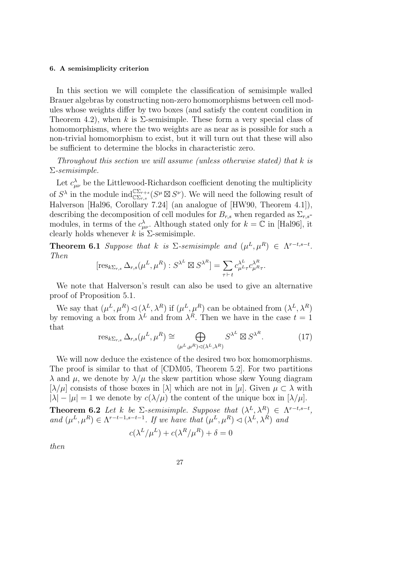#### 6. A semisimplicity criterion

In this section we will complete the classification of semisimple walled Brauer algebras by constructing non-zero homomorphisms between cell modules whose weights differ by two boxes (and satisfy the content condition in Theorem 4.2), when k is  $\Sigma$ -semisimple. These form a very special class of homomorphisms, where the two weights are as near as is possible for such a non-trivial homomorphism to exist, but it will turn out that these will also be sufficient to determine the blocks in characteristic zero.

*Throughout this section we will assume (unless otherwise stated) that* k *is* Σ*-semisimple.*

Let  $c_{\mu\nu}^{\lambda}$  be the Littlewood-Richardson coefficient denoting the multiplicity of  $S^{\lambda}$  in the module  $\text{ind}_{\mathbb{C}\Sigma_{r,s}}^{\mathbb{C}\Sigma_{r+s}}(S^{\mu}\boxtimes S^{\nu})$ . We will need the following result of Halverson [Hal96, Corollary 7.24] (an analogue of [HW90, Theorem 4.1]), describing the decomposition of cell modules for  $B_{r,s}$  when regarded as  $\Sigma_{r,s}$ modules, in terms of the  $c^{\lambda}_{\mu\nu}$ . Although stated only for  $k = \mathbb{C}$  in [Hal96], it clearly holds whenever k is  $\Sigma$ -semisimple.

**Theorem 6.1** *Suppose that*  $k$  *is*  $\Sigma$ -semisimple and  $(\mu^L, \mu^R) \in \Lambda^{r-t,s-t}$ . *Then*

$$
[\text{res}_{k\Sigma_{r,s}}\Delta_{r,s}(\mu^L,\mu^R):S^{\lambda^L}\boxtimes S^{\lambda^R}]=\sum_{\tau\vdash t}c_{\mu^L\tau}^{\lambda^L}c_{\mu^R\tau}^{\lambda^R}.
$$

We note that Halverson's result can also be used to give an alternative proof of Proposition 5.1.

We say that  $(\mu^L, \mu^R) \lhd (\lambda^L, \lambda^R)$  if  $(\mu^L, \mu^R)$  can be obtained from  $(\lambda^L, \lambda^R)$ by removing a box from  $\lambda^L$  and from  $\lambda^R$ . Then we have in the case  $t = 1$ that

$$
\operatorname{res}_{k\Sigma_{r,s}}\Delta_{r,s}(\mu^L,\mu^R) \cong \bigoplus_{(\mu^L,\mu^R)\vartriangleleft(\lambda^L,\lambda^R)} S^{\lambda^L} \boxtimes S^{\lambda^R}.\tag{17}
$$

We will now deduce the existence of the desired two box homomorphisms. The proof is similar to that of [CDM05, Theorem 5.2]. For two partitions  $\lambda$  and  $\mu$ , we denote by  $\lambda/\mu$  the skew partition whose skew Young diagram  $[\lambda/\mu]$  consists of those boxes in  $[\lambda]$  which are not in  $[\mu]$ . Given  $\mu \subset \lambda$  with  $|\lambda| - |\mu| = 1$  we denote by  $c(\lambda/\mu)$  the content of the unique box in  $[\lambda/\mu]$ . **Theorem 6.2** Let k be  $\Sigma$ -semisimple. Suppose that  $(\lambda^L, \lambda^R) \in \Lambda^{r-t,s-t}$ , and  $(\mu^L, \mu^R) \in \Lambda^{r-t-1,s-t-1}$ . If we have that  $(\mu^L, \mu^R) \triangleleft (\lambda^L, \lambda^R)$  and  $c(\lambda^L/\mu^L) + c(\lambda^R/\mu^R) + \delta = 0$ 

*then*

$$
27\quad
$$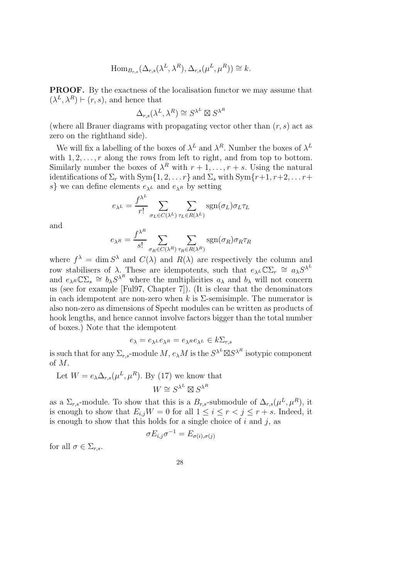$$
\text{Hom}_{B_{r,s}}(\Delta_{r,s}(\lambda^L,\lambda^R),\Delta_{r,s}(\mu^L,\mu^R))\cong k.
$$

PROOF. By the exactness of the localisation functor we may assume that  $(\lambda^L, \lambda^R) \vdash (r, s)$ , and hence that

$$
\Delta_{r,s}(\lambda^L,\lambda^R) \cong S^{\lambda^L} \boxtimes S^{\lambda^R}
$$

(where all Brauer diagrams with propagating vector other than  $(r, s)$  act as zero on the righthand side).

We will fix a labelling of the boxes of  $\lambda^L$  and  $\lambda^R$ . Number the boxes of  $\lambda^L$ with  $1, 2, \ldots, r$  along the rows from left to right, and from top to bottom. Similarly number the boxes of  $\lambda^R$  with  $r+1,\ldots,r+s$ . Using the natural identifications of  $\Sigma_r$  with  $\text{Sym}\{1, 2, \ldots r\}$  and  $\Sigma_s$  with  $\text{Sym}\{r+1, r+2, \ldots r+1\}$ s} we can define elements  $e_{\lambda}L$  and  $e_{\lambda}R$  by setting

$$
e_{\lambda^L} = \frac{f^{\lambda^L}}{r!} \sum_{\sigma_L \in C(\lambda^L)} \sum_{\tau_L \in R(\lambda^L)} \text{sgn}(\sigma_L) \sigma_L \tau_L
$$

and

$$
e_{\lambda^R} = \frac{f^{\lambda^R}}{s!} \sum_{\sigma_R \in C(\lambda^R)} \sum_{\tau_R \in R(\lambda^R)} \text{sgn}(\sigma_R) \sigma_R \tau_R
$$

where  $f^{\lambda} = \dim S^{\lambda}$  and  $C(\lambda)$  and  $R(\lambda)$  are respectively the column and row stabilisers of  $\lambda$ . These are idempotents, such that  $e_{\lambda} \mathcal{L} \mathbb{C} \Sigma_r \cong a_{\lambda} S^{\lambda}$ and  $e_{\lambda R} \mathbb{C}\Sigma_s \cong b_{\lambda} S^{\lambda^R}$  where the multiplicities  $a_{\lambda}$  and  $b_{\lambda}$  will not concern us (see for example [Ful97, Chapter 7]). (It is clear that the denominators in each idempotent are non-zero when k is  $\Sigma$ -semisimple. The numerator is also non-zero as dimensions of Specht modules can be written as products of hook lengths, and hence cannot involve factors bigger than the total number of boxes.) Note that the idempotent

$$
e_{\lambda} = e_{\lambda} e_{\lambda} e_{\lambda} = e_{\lambda} e_{\lambda} e_{\lambda} \in k \Sigma_{r,s}
$$

is such that for any  $\Sigma_{r,s}$ -module  $M$ ,  $e_\lambda M$  is the  $S^{\lambda^L} \boxtimes S^{\lambda^R}$  isotypic component of M.

Let 
$$
W = e_{\lambda} \Delta_{r,s} (\mu^L, \mu^R)
$$
. By (17) we know that  

$$
W \cong S^{\lambda^L} \boxtimes S^{\lambda^R}
$$

as a  $\Sigma_{r,s}$ -module. To show that this is a  $B_{r,s}$ -submodule of  $\Delta_{r,s}(\mu^L, \mu^R)$ , it is enough to show that  $E_{i,j}W = 0$  for all  $1 \leq i \leq r < j \leq r + s$ . Indeed, it is enough to show that this holds for a single choice of  $i$  and  $j$ , as

$$
\sigma E_{i,j} \sigma^{-1} = E_{\sigma(i), \sigma(j)}
$$

for all  $\sigma \in \Sigma_{r,s}$ .

$$
28\\
$$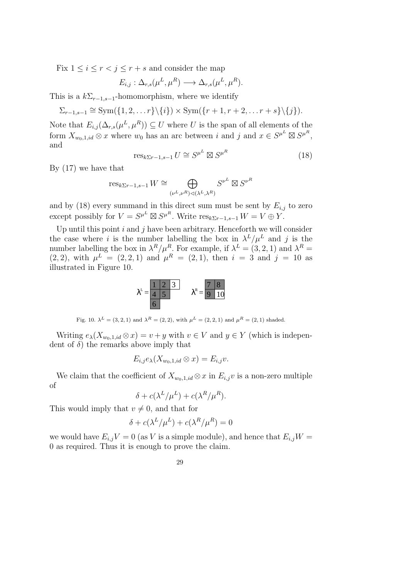Fix  $1 \leq i \leq r < j \leq r + s$  and consider the map

$$
E_{i,j} : \Delta_{r,s}(\mu^L, \mu^R) \longrightarrow \Delta_{r,s}(\mu^L, \mu^R).
$$

This is a  $k\Sigma_{r-1,s-1}$ -homomorphism, where we identify

$$
\Sigma_{r-1,s-1} \cong \mathrm{Sym}(\{1,2,\ldots r\} \setminus \{i\}) \times \mathrm{Sym}(\{r+1,r+2,\ldots r+s\} \setminus \{j\}).
$$

Note that  $E_{i,j}(\Delta_{r,s}(\mu^L, \mu^R)) \subseteq U$  where U is the span of all elements of the form  $X_{w_0,1,id} \otimes x$  where  $w_0$  has an arc between i and j and  $x \in S^{\mu^L} \boxtimes S^{\mu^R}$ , and

$$
\operatorname{res}_{k\Sigma r-1,s-1} U \cong S^{\mu^L} \boxtimes S^{\mu^R} \tag{18}
$$

By (17) we have that

$$
\operatorname{res}_{k\Sigma r-1,s-1}W \cong \bigoplus_{(\nu^L,\nu^R)\lhd(\lambda^L,\lambda^R)} S^{\nu^L}\boxtimes S^{\nu^R}
$$

and by (18) every summand in this direct sum must be sent by  $E_{i,j}$  to zero except possibly for  $V = S^{\mu^L} \boxtimes S^{\mu^R}$ . Write  $res_{k \Sigma r-1, s-1} W = V \oplus Y$ .

Up until this point  $i$  and  $j$  have been arbitrary. Henceforth we will consider the case where i is the number labelling the box in  $\lambda^L/\mu^L$  and j is the number labelling the box in  $\lambda^R/\mu^R$ . For example, if  $\lambda^L = (3, 2, 1)$  and  $\lambda^R =$  $(2, 2)$ , with  $\mu^L = (2, 2, 1)$  and  $\mu^R = (2, 1)$ , then  $i = 3$  and  $j = 10$  as illustrated in Figure 10.



Fig. 10.  $\lambda^{L} = (3, 2, 1)$  and  $\lambda^{R} = (2, 2)$ , with  $\mu^{L} = (2, 2, 1)$  and  $\mu^{R} = (2, 1)$  shaded.

Writing  $e_{\lambda}(X_{w_0,1,id}\otimes x)=v+y$  with  $v\in V$  and  $y\in Y$  (which is independent of  $\delta$ ) the remarks above imply that

$$
E_{i,j}e_{\lambda}(X_{w_0,1,id}\otimes x)=E_{i,j}v.
$$

We claim that the coefficient of  $X_{w_0,1,id} \otimes x$  in  $E_{i,j}v$  is a non-zero multiple of

$$
\delta + c(\lambda^L/\mu^L) + c(\lambda^R/\mu^R).
$$

This would imply that  $v \neq 0$ , and that for

$$
\delta + c(\lambda^L/\mu^L) + c(\lambda^R/\mu^R) = 0
$$

we would have  $E_{i,j}V = 0$  (as V is a simple module), and hence that  $E_{i,j}W =$ 0 as required. Thus it is enough to prove the claim.

$$
^{29}
$$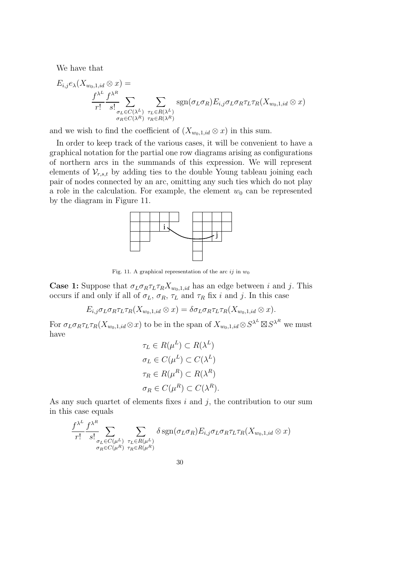We have that

$$
E_{i,j}e_{\lambda}(X_{w_0,1,id} \otimes x) =
$$
  

$$
\frac{f^{\lambda^L}}{r!} \frac{f^{\lambda^R}}{s!} \sum_{\substack{\sigma_L \in C(\lambda^L) \\ \sigma_R \in C(\lambda^R)}} \sum_{\substack{\tau_L \in R(\lambda^L) \\ \tau_R \in R(\lambda^R)}} \text{sgn}(\sigma_L \sigma_R) E_{i,j} \sigma_L \sigma_R \tau_L \tau_R(X_{w_0,1,id} \otimes x)
$$

and we wish to find the coefficient of  $(X_{w_0,1,id} \otimes x)$  in this sum.

In order to keep track of the various cases, it will be convenient to have a graphical notation for the partial one row diagrams arising as configurations of northern arcs in the summands of this expression. We will represent elements of  $V_{r,s,t}$  by adding ties to the double Young tableau joining each pair of nodes connected by an arc, omitting any such ties which do not play a role in the calculation. For example, the element  $w_0$  can be represented by the diagram in Figure 11.



Fig. 11. A graphical representation of the arc  $ij$  in  $w_0$ 

**Case 1:** Suppose that  $\sigma_L \sigma_R \tau_L \tau_R X_{w_0,1,id}$  has an edge between i and j. This occurs if and only if all of  $\sigma_L$ ,  $\sigma_R$ ,  $\tau_L$  and  $\tau_R$  fix i and j. In this case

$$
E_{i,j}\sigma_L\sigma_R\tau_L\tau_R(X_{w_0,1,id}\otimes x)=\delta\sigma_L\sigma_R\tau_L\tau_R(X_{w_0,1,id}\otimes x).
$$

For  $\sigma_L \sigma_R \tau_L \tau_R(X_{w_0,1,id} \otimes x)$  to be in the span of  $X_{w_0,1,id} \otimes S^{\lambda^L} \boxtimes S^{\lambda^R}$  we must have

$$
\tau_L \in R(\mu^L) \subset R(\lambda^L)
$$

$$
\sigma_L \in C(\mu^L) \subset C(\lambda^L)
$$

$$
\tau_R \in R(\mu^R) \subset R(\lambda^R)
$$

$$
\sigma_R \in C(\mu^R) \subset C(\lambda^R).
$$

As any such quartet of elements fixes  $i$  and  $j$ , the contribution to our sum in this case equals

$$
\frac{f^{\lambda^L}}{r!} \frac{f^{\lambda^R}}{s!} \sum_{\substack{\sigma_L \in C(\mu^L) \\ \sigma_R \in C(\mu^R)}} \sum_{\substack{\tau_L \in R(\mu^L) \\ \tau_R \in R(\mu^R)}} \delta \operatorname{sgn}(\sigma_L \sigma_R) E_{i,j} \sigma_L \sigma_R \tau_L \tau_R(X_{w_0,1,id} \otimes x)
$$

$$
30\,
$$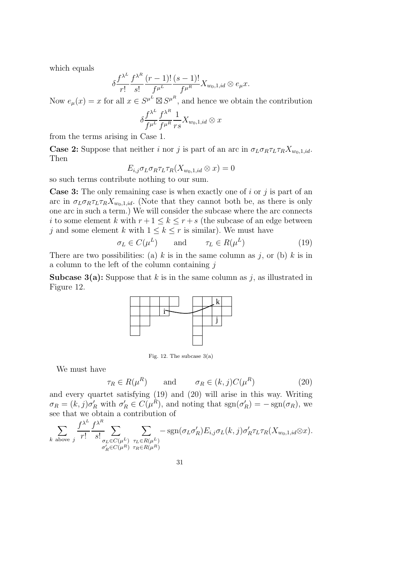which equals

$$
\delta \frac{f^{\lambda^L}}{r!} \frac{f^{\lambda^R}}{s!} \frac{(r-1)!}{f^{\mu^L}} \frac{(s-1)!}{f^{\mu^R}} X_{w_0,1,id} \otimes e_{\mu} x.
$$

Now  $e_{\mu}(x) = x$  for all  $x \in S^{\mu^L} \boxtimes S^{\mu^R}$ , and hence we obtain the contribution

$$
\delta \frac{f^{\lambda^L}}{f^{\mu^L}} \frac{f^{\lambda^R}}{f^{\mu^R}} \frac{1}{rs} X_{w_0,1,id} \otimes x
$$

from the terms arising in Case 1.

**Case 2:** Suppose that neither i nor j is part of an arc in  $\sigma_L \sigma_R \tau_L \tau_R X_{w_0,1,id}$ . Then

$$
E_{i,j}\sigma_L\sigma_R\tau_L\tau_R(X_{w_0,1,id}\otimes x)=0
$$

so such terms contribute nothing to our sum.

**Case 3:** The only remaining case is when exactly one of i or j is part of an arc in  $\sigma_L \sigma_R \tau_L \tau_R X_{w_0,1,id}$ . (Note that they cannot both be, as there is only one arc in such a term.) We will consider the subcase where the arc connects i to some element k with  $r+1 \leq k \leq r+s$  (the subcase of an edge between j and some element k with  $1 \leq k \leq r$  is similar). We must have

$$
\sigma_L \in C(\mu^L) \qquad \text{and} \qquad \tau_L \in R(\mu^L) \tag{19}
$$

There are two possibilities: (a) k is in the same column as j, or (b) k is in a column to the left of the column containing  $j$ 

**Subcase 3(a):** Suppose that k is in the same column as j, as illustrated in Figure 12.



Fig. 12. The subcase 3(a)

We must have

$$
\tau_R \in R(\mu^R) \qquad \text{and} \qquad \sigma_R \in (k, j)C(\mu^R) \tag{20}
$$

and every quartet satisfying (19) and (20) will arise in this way. Writing  $\sigma_R = (k, j)\sigma'_R$  with  $\sigma'_R \in C(\mu^R)$ , and noting that  $sgn(\sigma'_R) = -sgn(\sigma_R)$ , we see that we obtain a contribution of

$$
\sum_{k \text{ above } j} \frac{f^{\lambda^L}}{r!} \frac{f^{\lambda^R}}{s!} \sum_{\substack{\sigma_L \in C(\mu^L) \\ \sigma'_R \in C(\mu^R)}} \sum_{\substack{\tau_L \in R(\mu^L) \\ \tau_R \in R(\mu^R)}} -\text{sgn}(\sigma_L \sigma'_R) E_{i,j} \sigma_L(k,j) \sigma'_R \tau_L \tau_R(X_{w_0,1,id} \otimes x).
$$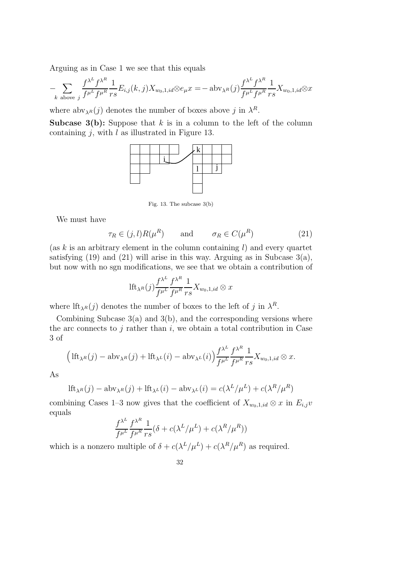Arguing as in Case 1 we see that this equals

$$
-\sum_{k \text{ above } j} \frac{f^{\lambda^L} f^{\lambda^R}}{f^{\mu^L} f^{\mu^R}} \frac{1}{r s} E_{i,j}(k,j) X_{w_0,1,id} \otimes e_{\mu} x = -\operatorname{abv}_{\lambda^R}(j) \frac{f^{\lambda^L} f^{\lambda^R}}{f^{\mu^L} f^{\mu^R}} \frac{1}{r s} X_{w_0,1,id} \otimes x
$$

where  $\mathrm{abv}_{\lambda^R}(j)$  denotes the number of boxes above j in  $\lambda^R$ .

**Subcase 3(b):** Suppose that k is in a column to the left of the column containing  $j$ , with  $l$  as illustrated in Figure 13.



Fig. 13. The subcase 3(b)

We must have

$$
\tau_R \in (j,l)R(\mu^R) \qquad \text{and} \qquad \sigma_R \in C(\mu^R) \tag{21}
$$

(as  $k$  is an arbitrary element in the column containing  $l$ ) and every quartet satisfying  $(19)$  and  $(21)$  will arise in this way. Arguing as in Subcase  $3(a)$ , but now with no sgn modifications, we see that we obtain a contribution of

$$
\mathrm{lft}_{\lambda^R}(j)\frac{f^{\lambda^L}}{f^{\mu^L}}\frac{f^{\lambda^R}}{f^{\mu^R}}\frac{1}{rs}X_{w_0,1,id}\otimes x
$$

where  $\text{If}_{\lambda^R}(j)$  denotes the number of boxes to the left of j in  $\lambda^R$ .

Combining Subcase  $3(a)$  and  $3(b)$ , and the corresponding versions where the arc connects to  $j$  rather than  $i$ , we obtain a total contribution in Case 3 of

$$
\left(\text{If}_{\lambda^R}(j) - \text{abv}_{\lambda^R}(j) + \text{If}_{\lambda^L}(i) - \text{abv}_{\lambda^L}(i)\right) \frac{f^{\lambda^L}}{f^{\mu^L}} \frac{f^{\lambda^R}}{f^{\mu^R}} \frac{1}{rs} X_{w_0,1,id} \otimes x.
$$

As

$$
\mathrm{lft}_{\lambda^R}(j) - \mathrm{abv}_{\lambda^R}(j) + \mathrm{lft}_{\lambda^L}(i) - \mathrm{abv}_{\lambda^L}(i) = c(\lambda^L/\mu^L) + c(\lambda^R/\mu^R)
$$

combining Cases 1–3 now gives that the coefficient of  $X_{w_0,1,id} \otimes x$  in  $E_{i,j}v$ equals

$$
\frac{f^{\lambda^L}}{f^{\mu^L}} \frac{f^{\lambda^R}}{f^{\mu^R}} \frac{1}{rs} (\delta + c(\lambda^L/\mu^L) + c(\lambda^R/\mu^R))
$$

which is a nonzero multiple of  $\delta + c(\lambda^L/\mu^L) + c(\lambda^R/\mu^R)$  as required.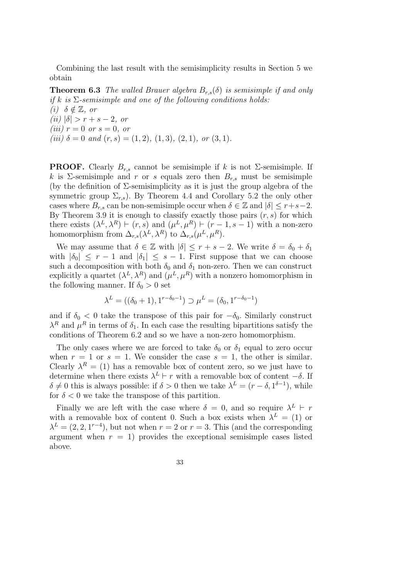Combining the last result with the semisimplicity results in Section 5 we obtain

**Theorem 6.3** *The walled Brauer algebra*  $B_{r,s}(\delta)$  *is semisimple if and only if* k *is* Σ*-semisimple and one of the following conditions holds: (i)*  $\delta \notin \mathbb{Z}$ *, or*  $(iii) |\delta| > r + s - 2$ , or *(iii)*  $r = 0$  *or*  $s = 0$ *, or*  $(iii)$   $\delta = 0$  *and*  $(r, s) = (1, 2), (1, 3), (2, 1),$  *or*  $(3, 1)$ *.* 

**PROOF.** Clearly  $B_{r,s}$  cannot be semisimple if k is not  $\Sigma$ -semisimple. If k is Σ-semisimple and r or s equals zero then  $B_{r,s}$  must be semisimple (by the definition of  $\Sigma$ -semisimplicity as it is just the group algebra of the symmetric group  $\Sigma_{r,s}$ ). By Theorem 4.4 and Corollary 5.2 the only other cases where  $B_{r,s}$  can be non-semisimple occur when  $\delta \in \mathbb{Z}$  and  $|\delta| \leq r+s-2$ . By Theorem 3.9 it is enough to classify exactly those pairs  $(r, s)$  for which there exists  $(\lambda^L, \lambda^R) \vdash (r, s)$  and  $(\mu^L, \mu^R) \vdash (r-1, s-1)$  with a non-zero homomorphism from  $\Delta_{r,s}(\lambda^L, \lambda^R)$  to  $\Delta_{r,s}(\mu^L, \mu^R)$ .

We may assume that  $\delta \in \mathbb{Z}$  with  $|\delta| \leq r + s - 2$ . We write  $\delta = \delta_0 + \delta_1$ with  $|\delta_0| \leq r - 1$  and  $|\delta_1| \leq s - 1$ . First suppose that we can choose such a decomposition with both  $\delta_0$  and  $\delta_1$  non-zero. Then we can construct explicitly a quartet  $(\lambda^L, \lambda^R)$  and  $(\mu^L, \mu^R)$  with a nonzero homomorphism in the following manner. If  $\delta_0 > 0$  set

$$
\lambda^{L} = ((\delta_0 + 1), 1^{r - \delta_0 - 1}) \supset \mu^{L} = (\delta_0, 1^{r - \delta_0 - 1})
$$

and if  $\delta_0$  < 0 take the transpose of this pair for  $-\delta_0$ . Similarly construct  $\lambda^R$  and  $\mu^R$  in terms of  $\delta_1$ . In each case the resulting bipartitions satisfy the conditions of Theorem 6.2 and so we have a non-zero homomorphism.

The only cases where we are forced to take  $\delta_0$  or  $\delta_1$  equal to zero occur when  $r = 1$  or  $s = 1$ . We consider the case  $s = 1$ , the other is similar. Clearly  $\lambda^R = (1)$  has a removable box of content zero, so we just have to determine when there exists  $\lambda^L \vdash r$  with a removable box of content  $-\delta$ . If  $\delta \neq 0$  this is always possible: if  $\delta > 0$  then we take  $\lambda^{L} = (r - \delta, 1^{\delta - 1})$ , while for  $\delta < 0$  we take the transpose of this partition.

Finally we are left with the case where  $\delta = 0$ , and so require  $\lambda^L \vdash r$ with a removable box of content 0. Such a box exists when  $\lambda^L = (1)$  or  $\lambda^{L} = (2, 2, 1^{r-4})$ , but not when  $r = 2$  or  $r = 3$ . This (and the corresponding argument when  $r = 1$ ) provides the exceptional semisimple cases listed above.

$$
33\,
$$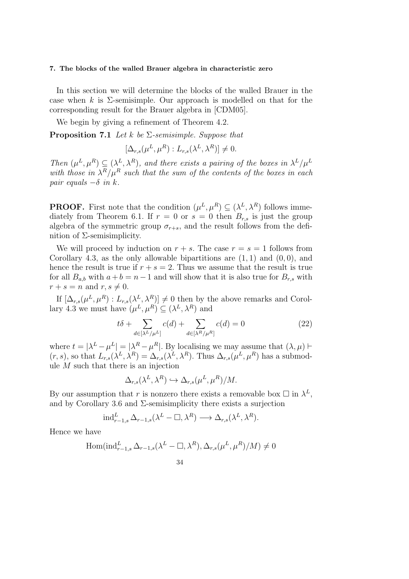#### 7. The blocks of the walled Brauer algebra in characteristic zero

In this section we will determine the blocks of the walled Brauer in the case when k is  $\Sigma$ -semisimple. Our approach is modelled on that for the corresponding result for the Brauer algebra in [CDM05].

We begin by giving a refinement of Theorem 4.2.

Proposition 7.1 *Let* k *be* Σ*-semisimple. Suppose that*

$$
[\Delta_{r,s}(\mu^L, \mu^R) : L_{r,s}(\lambda^L, \lambda^R)] \neq 0.
$$

Then  $(\mu^L, \mu^R) \subseteq (\lambda^L, \lambda^R)$ , and there exists a pairing of the boxes in  $\lambda^L/\mu^L$ with those in  $\lambda^R/\mu^R$  such that the sum of the contents of the boxes in each *pair equals*  $-\delta$  *in k.* 

**PROOF.** First note that the condition  $(\mu^L, \mu^R) \subseteq (\lambda^L, \lambda^R)$  follows immediately from Theorem 6.1. If  $r = 0$  or  $s = 0$  then  $B_{r,s}$  is just the group algebra of the symmetric group  $\sigma_{r+s}$ , and the result follows from the definition of  $\Sigma$ -semisimplicity.

We will proceed by induction on  $r + s$ . The case  $r = s = 1$  follows from Corollary 4.3, as the only allowable bipartitions are  $(1, 1)$  and  $(0, 0)$ , and hence the result is true if  $r + s = 2$ . Thus we assume that the result is true for all  $B_{a,b}$  with  $a+b=n-1$  and will show that it is also true for  $B_{r,s}$  with  $r + s = n$  and  $r, s \neq 0$ .

If  $[\Delta_{r,s}(\mu^L, \mu^R) : L_{r,s}(\lambda^L, \lambda^R)] \neq 0$  then by the above remarks and Corollary 4.3 we must have  $(\mu^L, \mu^R) \subseteq (\lambda^L, \lambda^R)$  and

$$
t\delta + \sum_{d \in [\lambda^L/\mu^L]} c(d) + \sum_{d \in [\lambda^R/\mu^R]} c(d) = 0 \tag{22}
$$

where  $t = |\lambda^L - \mu^L| = |\lambda^R - \mu^R|$ . By localising we may assume that  $(\lambda, \mu)$   $\vdash$  $(r, s)$ , so that  $L_{r,s}(\lambda^L, \lambda^R) = \Delta_{r,s}(\lambda^L, \lambda^R)$ . Thus  $\Delta_{r,s}(\mu^L, \mu^R)$  has a submodule  $M$  such that there is an injection

$$
\Delta_{r,s}(\lambda^L, \lambda^R) \hookrightarrow \Delta_{r,s}(\mu^L, \mu^R)/M.
$$

By our assumption that r is nonzero there exists a removable box  $\Box$  in  $\lambda^L$ , and by Corollary 3.6 and  $\Sigma$ -semisimplicity there exists a surjection

$$
\text{ind}_{r-1,s}^L \Delta_{r-1,s}(\lambda^L - \square, \lambda^R) \longrightarrow \Delta_{r,s}(\lambda^L, \lambda^R).
$$

Hence we have

$$
\operatorname{Hom}(\operatorname{ind}_{r-1,s}^L \Delta_{r-1,s}(\lambda^L - \square, \lambda^R), \Delta_{r,s}(\mu^L, \mu^R)/M) \neq 0
$$

34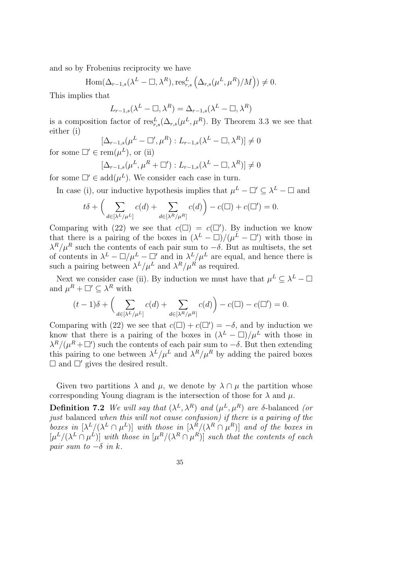and so by Frobenius reciprocity we have

$$
\operatorname{Hom}(\Delta_{r-1,s}(\lambda^L - \square, \lambda^R), \operatorname{res}_{r,s}^L(\Delta_{r,s}(\mu^L, \mu^R)/M)) \neq 0.
$$

This implies that

$$
L_{r-1,s}(\lambda^L - \square, \lambda^R) = \Delta_{r-1,s}(\lambda^L - \square, \lambda^R)
$$

is a composition factor of  $res_{r,s}^L(\Delta_{r,s}(\mu^L, \mu^R)$ . By Theorem 3.3 we see that either (i)

 $[\Delta_{r-1,s}(\mu^L - \square', \mu^R) : L_{r-1,s}(\lambda^L - \square, \lambda^R)] \neq 0$ for some  $\Box' \in \text{rem}(\mu^L)$ , or (ii)

$$
[\Delta_{r-1,s}(\mu^L, \mu^R + \square') : L_{r-1,s}(\lambda^L - \square, \lambda^R)] \neq 0
$$

for some  $\Box' \in \text{add}(\mu^L)$ . We consider each case in turn.

In case (i), our inductive hypothesis implies that  $\mu^L - \Box' \subseteq \lambda^L - \Box$  and

$$
t\delta + \left(\sum_{d \in [\lambda^L/\mu^L]} c(d) + \sum_{d \in [\lambda^R/\mu^R]} c(d)\right) - c(\square) + c(\square') = 0.
$$

Comparing with (22) we see that  $c(\Box) = c(\Box')$ . By induction we know that there is a pairing of the boxes in  $(\lambda^L - \Box)/(\mu^L - \Box')$  with those in  $\lambda^R/\mu^R$  such the contents of each pair sum to  $-\delta$ . But as multisets, the set of contents in  $\lambda^L - \Box/\mu^L - \Box'$  and in  $\lambda^L/\mu^L$  are equal, and hence there is such a pairing between  $\lambda^L/\mu^L$  and  $\lambda^R/\mu^R$  as required.

Next we consider case (ii). By induction we must have that  $\mu^L \subseteq \lambda^L - \square$ and  $\mu^R + \square' \subseteq \lambda^R$  with

$$
(t-1)\delta + \left(\sum_{d \in [\lambda^L/\mu^L]} c(d) + \sum_{d \in [\lambda^R/\mu^R]} c(d)\right) - c(\square) - c(\square') = 0.
$$

Comparing with (22) we see that  $c(\Box) + c(\Box') = -\delta$ , and by induction we know that there is a pairing of the boxes in  $(\lambda^L - \Box)/\mu^L$  with those in  $\lambda^R/(\mu^R + \Box')$  such the contents of each pair sum to  $-\delta$ . But then extending this pairing to one between  $\lambda^L/\mu^L$  and  $\lambda^R/\mu^R$  by adding the paired boxes  $\Box$  and  $\Box'$  gives the desired result.

Given two partitions  $\lambda$  and  $\mu$ , we denote by  $\lambda \cap \mu$  the partition whose corresponding Young diagram is the intersection of those for  $\lambda$  and  $\mu$ .

**Definition 7.2** We will say that  $(\lambda^L, \lambda^R)$  and  $(\mu^L, \mu^R)$  are  $\delta$ -balanced *(or just* balanced *when this will not cause confusion) if there is a pairing of the boxes in*  $[\lambda^L/(\lambda^L \cap \mu^L)]$  *with those in*  $[\lambda^R/(\lambda^R \cap \mu^R)]$  *and of the boxes in*  $[\mu^L/(\lambda^L \cap \mu^L)]$  with those in  $[\mu^R/(\lambda^R \cap \mu^R)]$  such that the contents of each *pair sum to*  $-\delta$  *in k.* 

$$
\overline{35}
$$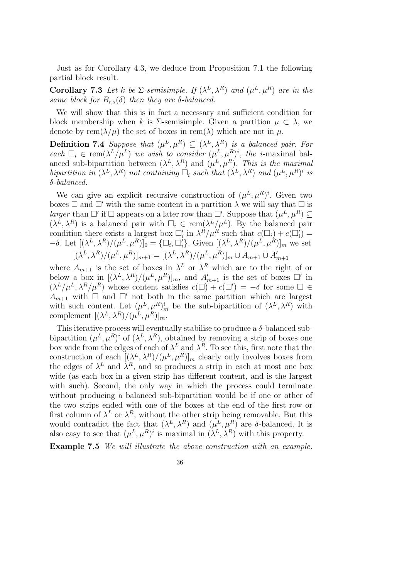Just as for Corollary 4.3, we deduce from Proposition 7.1 the following partial block result.

**Corollary 7.3** Let k be  $\Sigma$ -semisimple. If  $(\lambda^L, \lambda^R)$  and  $(\mu^L, \mu^R)$  are in the *same block for*  $B_{r,s}(\delta)$  *then they are*  $\delta$ *-balanced.* 

We will show that this is in fact a necessary and sufficient condition for block membership when k is  $\Sigma$ -semisimple. Given a partition  $\mu \subset \lambda$ , we denote by rem $(\lambda/\mu)$  the set of boxes in rem( $\lambda$ ) which are not in  $\mu$ .

**Definition 7.4** *Suppose that*  $(\mu^L, \mu^R) \subseteq (\lambda^L, \lambda^R)$  *is a balanced pair. For each*  $\Box_i \in \text{rem}(\lambda^L/\mu^L)$  *we wish to consider*  $(\mu^L, \mu^R)^i$ *, the i*-maximal balanced sub-bipartition between  $(\lambda^L, \lambda^R)$  and  $(\mu^L, \mu^R)$ . This is the maximal bipartition in  $(\lambda^L, \lambda^R)$  not containing  $\Box_i$  such that  $(\lambda^L, \lambda^R)$  and  $(\mu^L, \mu^R)^i$  is δ*-balanced.*

We can give an explicit recursive construction of  $(\mu^L, \mu^R)^i$ . Given two boxes  $\Box$  and  $\Box'$  with the same content in a partition  $\lambda$  we will say that  $\Box$  is *larger* than  $\Box'$  if  $\Box$  appears on a later row than  $\Box'$ . Suppose that  $(\mu^L, \mu^R) \subseteq$  $(\lambda^{\tilde{L}}, \lambda^R)$  is a balanced pair with  $\Box_i \in \text{rem}(\lambda^L/\mu^L)$ . By the balanced pair condition there exists a largest box  $\Box'_i$  in  $\lambda^R/\mu^R$  such that  $c(\Box_i) + c(\Box'_i) =$  $-\delta$ . Let  $[(\lambda^L, \lambda^R)/(\mu^L, \mu^R)]_0 = {\{\Box_i, \Box'_i\}}$ . Given  $[(\lambda^L, \lambda^R)/(\mu^L, \mu^R)]_m$  we set  $[(\lambda^{L}, \lambda^{R})/(\mu^{L}, \mu^{R})]_{m+1} = [(\lambda^{L}, \lambda^{R})/(\mu^{L}, \mu^{R})]_{m} \cup A_{m+1} \cup A'_{m+1}$ 

where  $A_{m+1}$  is the set of boxes in  $\lambda^L$  or  $\lambda^R$  which are to the right of or below a box in  $[(\lambda^L, \lambda^R) / (\mu^L, \mu^R)]_m$ , and  $A'_{m+1}$  is the set of boxes  $\square'$  in  $(\lambda^L/\mu^L, \lambda^R/\mu^R)$  whose content satisfies  $c(\square) + c(\square') = -\delta$  for some  $\square \in$  $A_{m+1}$  with  $\Box$  and  $\Box'$  not both in the same partition which are largest with such content. Let  $(\mu^L, \mu^R)^i_m$  be the sub-bipartition of  $(\lambda^L, \lambda^R)$  with complement  $[(\lambda^L, \lambda^R) / (\mu^L, \mu^R)]_m$ .

This iterative process will eventually stabilise to produce a  $\delta$ -balanced subbipartition  $(\mu^L, \mu^R)^i$  of  $(\lambda^L, \lambda^R)$ , obtained by removing a strip of boxes one box wide from the edges of each of  $\lambda^L$  and  $\lambda^R$ . To see this, first note that the construction of each  $[(\lambda^L, \lambda^R) / (\mu^L, \mu^R)]_m$  clearly only involves boxes from the edges of  $\lambda^L$  and  $\lambda^R$ , and so produces a strip in each at most one box wide (as each box in a given strip has different content, and is the largest with such). Second, the only way in which the process could terminate without producing a balanced sub-bipartition would be if one or other of the two strips ended with one of the boxes at the end of the first row or first column of  $\lambda^L$  or  $\lambda^R$ , without the other strip being removable. But this would contradict the fact that  $(\lambda^L, \lambda^R)$  and  $(\mu^L, \mu^R)$  are  $\delta$ -balanced. It is also easy to see that  $(\mu^L, \mu^R)^i$  is maximal in  $(\lambda^L, \lambda^R)$  with this property.

Example 7.5 *We will illustrate the above construction with an example.*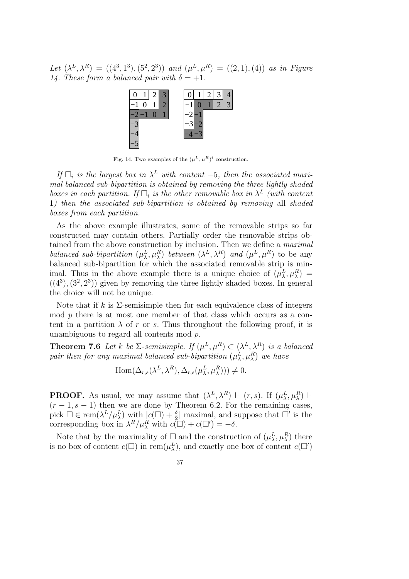Let  $(\lambda^L, \lambda^R) = ((4^3, 1^3), (5^2, 2^3))$  and  $(\mu^L, \mu^R) = ((2, 1), (4))$  as in Figure *14. These form a balanced pair with*  $\delta = +1$ .



Fig. 14. Two examples of the  $(\mu^L, \mu^R)^i$  construction.

*If*  $\Box_i$  *is the largest box in*  $\lambda^L$  *with content* −5*, then the associated maximal balanced sub-bipartition is obtained by removing the three lightly shaded* boxes in each partition. If  $\Box_i$  is the other removable box in  $\lambda^L$  (with content 1*) then the associated sub-bipartition is obtained by removing* all *shaded boxes from each partition.*

As the above example illustrates, some of the removable strips so far constructed may contain others. Partially order the removable strips obtained from the above construction by inclusion. Then we define a *maximal balanced sub-bipartition*  $(\mu_{\lambda}^{L}, \mu_{\lambda}^{R})$  *between*  $(\lambda^{L}, \lambda^{R})$  *and*  $(\mu^{L}, \mu^{R})$  to be any balanced sub-bipartition for which the associated removable strip is minimal. Thus in the above example there is a unique choice of  $(\mu_\lambda^L, \mu_\lambda^R)$  =  $((4^3), (3^2, 2^3))$  given by removing the three lightly shaded boxes. In general the choice will not be unique.

Note that if k is  $\Sigma$ -semisimple then for each equivalence class of integers mod  $p$  there is at most one member of that class which occurs as a content in a partition  $\lambda$  of r or s. Thus throughout the following proof, it is unambiguous to regard all contents mod p.

**Theorem 7.6** Let k be  $\Sigma$ -semisimple. If  $(\mu^L, \mu^R) \subset (\lambda^L, \lambda^R)$  is a balanced  $pair\ then\ for\ any\ maximal\ balanced\ sub-bipartition\ (\mu^L_\lambda,\mu^R_\lambda)\ we\ have$ 

$$
\operatorname{Hom}(\Delta_{r,s}(\lambda^L, \lambda^R), \Delta_{r,s}(\mu^L_\lambda, \mu^R_\lambda))) \neq 0.
$$

**PROOF.** As usual, we may assume that  $(\lambda^L, \lambda^R) \vdash (r, s)$ . If  $(\mu_\lambda^L, \mu_\lambda^R) \vdash$  $(r-1, s-1)$  then we are done by Theorem 6.2. For the remaining cases, pick  $\Box \in \text{rem}(\lambda^L/\mu_\lambda^L)$  with  $|c(\Box) + \frac{\delta}{2}|$  maximal, and suppose that  $\Box'$  is the corresponding box in  $\lambda^R / \mu_\lambda^R$  with  $c(\Box) + c(\Box') = -\delta$ .

Note that by the maximality of  $\Box$  and the construction of  $(\mu_\lambda^L, \mu_\lambda^R)$  there is no box of content  $c(\Box)$  in rem $(\mu_{\lambda}^{L})$ , and exactly one box of content  $c(\Box')$ 

37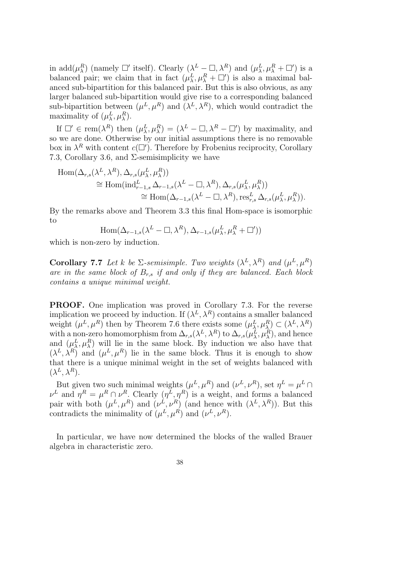in add $(\mu_\lambda^R)$  (namely  $\square'$  itself). Clearly  $(\lambda^L - \square, \lambda^R)$  and  $(\mu_\lambda^L, \mu_\lambda^R + \square')$  is a balanced pair; we claim that in fact  $(\mu_{\lambda}^{L}, \mu_{\lambda}^{R} + \Box')$  is also a maximal balanced sub-bipartition for this balanced pair. But this is also obvious, as any larger balanced sub-bipartition would give rise to a corresponding balanced sub-bipartition between  $(\mu^L, \mu^R)$  and  $(\lambda^L, \lambda^R)$ , which would contradict the maximality of  $(\mu_\lambda^L, \mu_\lambda^R)$ .

If  $\Box' \in \text{rem}(\lambda^R)$  then  $(\mu_\lambda^L, \mu_\lambda^R) = (\lambda^L - \Box, \lambda^R - \Box')$  by maximality, and so we are done. Otherwise by our initial assumptions there is no removable box in  $\lambda^R$  with content  $c(\square')$ . Therefore by Frobenius reciprocity, Corollary 7.3, Corollary 3.6, and  $\Sigma$ -semisimplicity we have

$$
\text{Hom}(\Delta_{r,s}(\lambda^L, \lambda^R), \Delta_{r,s}(\mu^L, \mu^R_{\lambda}))
$$
\n
$$
\cong \text{Hom}(\text{ind}_{r-1,s}^L \Delta_{r-1,s}(\lambda^L - \Box, \lambda^R), \Delta_{r,s}(\mu^L, \mu^R_{\lambda}))
$$
\n
$$
\cong \text{Hom}(\Delta_{r-1,s}(\lambda^L - \Box, \lambda^R), \text{res}_{r,s}^L \Delta_{r,s}(\mu^L_{\lambda}, \mu^R_{\lambda})).
$$

By the remarks above and Theorem 3.3 this final Hom-space is isomorphic to

$$
\operatorname{Hom}(\Delta_{r-1,s}(\lambda^L-\square,\lambda^R),\Delta_{r-1,s}(\mu_{\lambda}^L,\mu_{\lambda}^R+\square'))
$$

which is non-zero by induction.

**Corollary 7.7** Let k be  $\Sigma$ -semisimple. Two weights  $(\lambda^L, \lambda^R)$  and  $(\mu^L, \mu^R)$ *are in the same block of* Br,s *if and only if they are balanced. Each block contains a unique minimal weight.*

PROOF. One implication was proved in Corollary 7.3. For the reverse implication we proceed by induction. If  $(\lambda^L, \lambda^R)$  contains a smaller balanced weight  $(\mu^L, \mu^R)$  then by Theorem 7.6 there exists some  $(\mu^L_\lambda, \mu^R_\lambda) \subset (\lambda^L, \lambda^R)$ with a non-zero homomorphism from  $\Delta_{r,s}(\lambda^L, \lambda^R)$  to  $\Delta_{r,s}(\mu_\lambda^L, \mu_\lambda^R)$ , and hence and  $(\mu_{\lambda}^{L}, \mu_{\lambda}^{R})$  will lie in the same block. By induction we also have that  $(\lambda^L, \lambda^R)$  and  $(\mu^L, \mu^R)$  lie in the same block. Thus it is enough to show that there is a unique minimal weight in the set of weights balanced with  $(\lambda^L, \lambda^R)$ .

But given two such minimal weights  $(\mu^L, \mu^R)$  and  $(\nu^L, \nu^R)$ , set  $\eta^L = \mu^L \cap$  $\nu^L$  and  $\eta^R = \mu^R \cap \nu^R$ . Clearly  $(\eta^L, \eta^R)$  is a weight, and forms a balanced pair with both  $(\mu^L, \mu^R)$  and  $(\nu^L, \nu^R)$  (and hence with  $(\lambda^L, \lambda^R)$ ). But this contradicts the minimality of  $(\mu^L, \mu^R)$  and  $(\nu^L, \nu^R)$ .

In particular, we have now determined the blocks of the walled Brauer algebra in characteristic zero.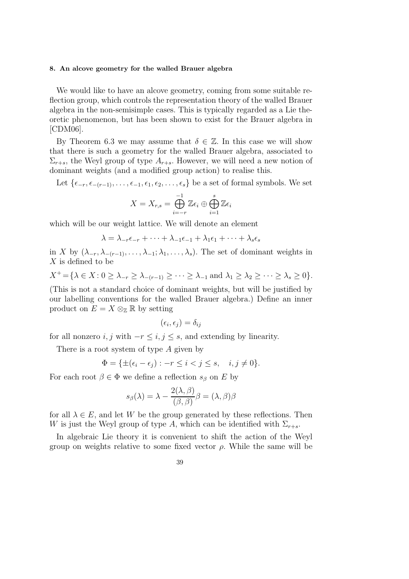#### 8. An alcove geometry for the walled Brauer algebra

We would like to have an alcove geometry, coming from some suitable reflection group, which controls the representation theory of the walled Brauer algebra in the non-semisimple cases. This is typically regarded as a Lie theoretic phenomenon, but has been shown to exist for the Brauer algebra in [CDM06].

By Theorem 6.3 we may assume that  $\delta \in \mathbb{Z}$ . In this case we will show that there is such a geometry for the walled Brauer algebra, associated to  $\Sigma_{r+s}$ , the Weyl group of type  $A_{r+s}$ . However, we will need a new notion of dominant weights (and a modified group action) to realise this.

Let  $\{\epsilon_{-r}, \epsilon_{-(r-1)}, \ldots, \epsilon_{-1}, \epsilon_1, \epsilon_2, \ldots, \epsilon_s\}$  be a set of formal symbols. We set

$$
X = X_{r,s} = \bigoplus_{i=-r}^{-1} \mathbb{Z} \epsilon_i \oplus \bigoplus_{i=1}^{s} \mathbb{Z} \epsilon_i
$$

which will be our weight lattice. We will denote an element

$$
\lambda = \lambda_{-r}\epsilon_{-r} + \cdots + \lambda_{-1}\epsilon_{-1} + \lambda_1\epsilon_1 + \cdots + \lambda_s\epsilon_s
$$

in X by  $(\lambda_{-r}, \lambda_{-(r-1)}, \ldots, \lambda_{-1}; \lambda_1, \ldots, \lambda_s)$ . The set of dominant weights in X is defined to be

$$
X^+ = \{ \lambda \in X : 0 \ge \lambda_{-r} \ge \lambda_{-(r-1)} \ge \cdots \ge \lambda_{-1} \text{ and } \lambda_1 \ge \lambda_2 \ge \cdots \ge \lambda_s \ge 0 \}.
$$

(This is not a standard choice of dominant weights, but will be justified by our labelling conventions for the walled Brauer algebra.) Define an inner product on  $E = X \otimes_{\mathbb{Z}} \mathbb{R}$  by setting

$$
(\epsilon_i,\epsilon_j)=\delta_{ij}
$$

for all nonzero  $i, j$  with  $-r \leq i, j \leq s$ , and extending by linearity.

There is a root system of type A given by

$$
\Phi = \{ \pm(\epsilon_i - \epsilon_j) : -r \le i < j \le s, \quad i, j \ne 0 \}.
$$

For each root  $\beta \in \Phi$  we define a reflection  $s_{\beta}$  on E by

$$
s_{\beta}(\lambda) = \lambda - \frac{2(\lambda, \beta)}{(\beta, \beta)} \beta = (\lambda, \beta)\beta
$$

for all  $\lambda \in E$ , and let W be the group generated by these reflections. Then W is just the Weyl group of type A, which can be identified with  $\Sigma_{r+s}$ .

In algebraic Lie theory it is convenient to shift the action of the Weyl group on weights relative to some fixed vector  $\rho$ . While the same will be

$$
39\,
$$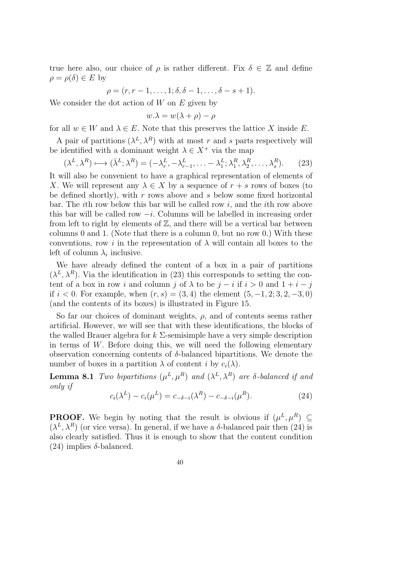true here also, our choice of  $\rho$  is rather different. Fix  $\delta \in \mathbb{Z}$  and define  $\rho = \rho(\delta) \in E$  by

$$
\rho = (r, r - 1, \dots, 1; \delta, \delta - 1, \dots, \delta - s + 1).
$$

We consider the dot action of  $W$  on  $E$  given by

$$
w.\lambda = w(\lambda + \rho) - \rho
$$

for all  $w \in W$  and  $\lambda \in E$ . Note that this preserves the lattice X inside E.

A pair of partitions  $(\lambda^L, \lambda^R)$  with at most r and s parts respectively will be identified with a dominant weight  $\lambda \in X^+$  via the map

$$
(\lambda^L, \lambda^R) \longmapsto (\bar{\lambda}^L; \lambda^R) = (-\lambda_r^L, -\lambda_{r-1}^L, \dots - \lambda_1^L; \lambda_1^R, \lambda_2^R, \dots, \lambda_s^R). \tag{23}
$$

It will also be convenient to have a graphical representation of elements of X. We will represent any  $\lambda \in X$  by a sequence of  $r + s$  rows of boxes (to be defined shortly), with  $r$  rows above and  $s$  below some fixed horizontal bar. The *i*th row below this bar will be called row  $i$ , and the *i*th row above this bar will be called row  $-i$ . Columns will be labelled in increasing order from left to right by elements of  $\mathbb{Z}$ , and there will be a vertical bar between columns 0 and 1. (Note that there is a column 0, but no row 0.) With these conventions, row i in the representation of  $\lambda$  will contain all boxes to the left of column  $\lambda_i$  inclusive.

We have already defined the content of a box in a pair of partitions  $(\lambda^L, \lambda^R)$ . Via the identification in (23) this corresponds to setting the content of a box in row i and column j of  $\lambda$  to be j – i if i > 0 and 1 + i – j if  $i < 0$ . For example, when  $(r, s) = (3, 4)$  the element  $(5, -1, 2; 3, 2, -3, 0)$ (and the contents of its boxes) is illustrated in Figure 15.

So far our choices of dominant weights,  $\rho$ , and of contents seems rather artificial. However, we will see that with these identifications, the blocks of the walled Brauer algebra for  $k \Sigma$ -semisimple have a very simple description in terms of W. Before doing this, we will need the following elementary observation concerning contents of  $\delta$ -balanced bipartitions. We denote the number of boxes in a partition  $\lambda$  of content i by  $c_i(\lambda)$ .

**Lemma 8.1** *Two bipartitions*  $(\mu^L, \mu^R)$  *and*  $(\lambda^L, \lambda^R)$  *are*  $\delta$ -balanced if and *only if*

$$
c_i(\lambda^L) - c_i(\mu^L) = c_{-\delta - i}(\lambda^R) - c_{-\delta - i}(\mu^R). \tag{24}
$$

**PROOF.** We begin by noting that the result is obvious if  $(\mu^L, \mu^R) \subseteq$  $(\lambda^L, \lambda^R)$  (or vice versa). In general, if we have a  $\delta$ -balanced pair then (24) is also clearly satisfied. Thus it is enough to show that the content condition (24) implies δ-balanced.

$$
40\,
$$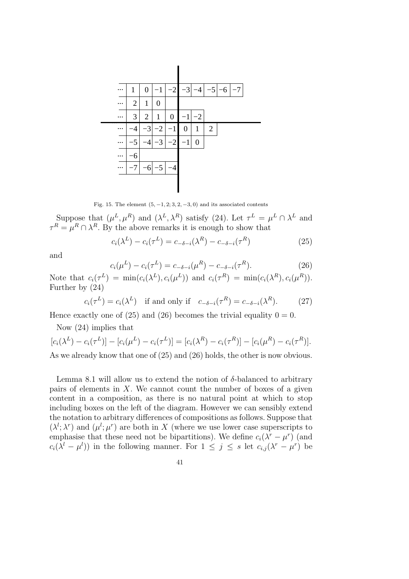

Fig. 15. The element  $(5, -1, 2, 3, 2, -3, 0)$  and its associated contents

Suppose that  $(\mu^L, \mu^R)$  and  $(\lambda^L, \lambda^R)$  satisfy (24). Let  $\tau^L = \mu^L \cap \lambda^L$  and  $\tau^R = \mu^R \cap \lambda^R$ . By the above remarks it is enough to show that

$$
c_i(\lambda^L) - c_i(\tau^L) = c_{-\delta - i}(\lambda^R) - c_{-\delta - i}(\tau^R)
$$
\n(25)

and

$$
c_i(\mu^L) - c_i(\tau^L) = c_{-\delta - i}(\mu^R) - c_{-\delta - i}(\tau^R). \tag{26}
$$

Note that  $c_i(\tau^L) = \min(c_i(\lambda^L), c_i(\mu^L))$  and  $c_i(\tau^R) = \min(c_i(\lambda^R), c_i(\mu^R)).$ Further by (24)

$$
c_i(\tau^L) = c_i(\lambda^L) \quad \text{if and only if} \quad c_{-\delta-i}(\tau^R) = c_{-\delta-i}(\lambda^R). \tag{27}
$$

Hence exactly one of (25) and (26) becomes the trivial equality  $0 = 0$ .

Now (24) implies that

$$
[c_i(\lambda^L) - c_i(\tau^L)] - [c_i(\mu^L) - c_i(\tau^L)] = [c_i(\lambda^R) - c_i(\tau^R)] - [c_i(\mu^R) - c_i(\tau^R)].
$$
  
As we already know that one of (25) and (26) holds, the other is now obvious.

Lemma 8.1 will allow us to extend the notion of  $\delta$ -balanced to arbitrary pairs of elements in  $X$ . We cannot count the number of boxes of a given content in a composition, as there is no natural point at which to stop including boxes on the left of the diagram. However we can sensibly extend the notation to arbitrary differences of compositions as follows. Suppose that  $(\lambda^l; \lambda^r)$  and  $(\mu^l; \mu^r)$  are both in X (where we use lower case superscripts to emphasise that these need not be bipartitions). We define  $c_i(\lambda^r - \mu^r)$  (and  $c_i(\lambda^l - \mu^l)$  in the following manner. For  $1 \leq j \leq s$  let  $c_{i,j}(\lambda^r - \mu^r)$  be

$$
41\,
$$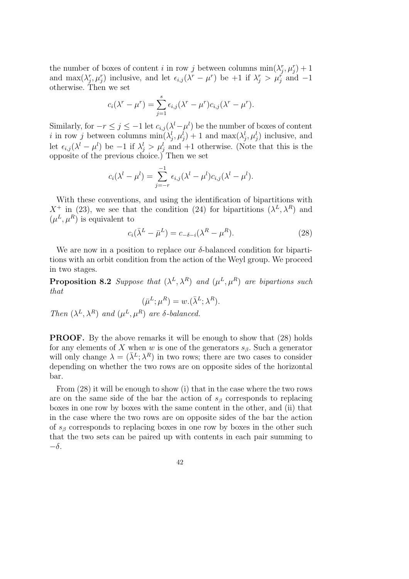the number of boxes of content i in row j between columns  $\min(\lambda_j^r, \mu_j^r) + 1$ and  $\max(\lambda_j^r, \mu_j^r)$  inclusive, and let  $\epsilon_{i,j}(\lambda^r - \mu^r)$  be +1 if  $\lambda_j^r > \mu_j^r$  and -1 otherwise. Then we set

$$
c_i(\lambda^r - \mu^r) = \sum_{j=1}^s \epsilon_{i,j} (\lambda^r - \mu^r) c_{i,j} (\lambda^r - \mu^r).
$$

Similarly, for  $-r \leq j \leq -1$  let  $c_{i,j}(\lambda^l - \mu^l)$  be the number of boxes of content i in row j between columns  $\min(\lambda_j^l, \mu_j^l) + 1$  and  $\max(\lambda_j^l, \mu_j^l)$  inclusive, and let  $\epsilon_{i,j}(\lambda^l - \mu^l)$  be  $-1$  if  $\lambda_j^l > \mu_j^l$  and  $+1$  otherwise. (Note that this is the opposite of the previous choice.) Then we set

$$
c_i(\lambda^l - \mu^l) = \sum_{j=-r}^{-1} \epsilon_{i,j}(\lambda^l - \mu^l)c_{i,j}(\lambda^l - \mu^l).
$$

With these conventions, and using the identification of bipartitions with  $X^+$  in (23), we see that the condition (24) for bipartitions  $(\lambda^L, \lambda^R)$  and  $(\mu^L, \mu^R)$  is equivalent to

$$
c_i(\bar{\lambda}^L - \bar{\mu}^L) = c_{-\delta - i}(\lambda^R - \mu^R). \tag{28}
$$

We are now in a position to replace our  $\delta$ -balanced condition for bipartitions with an orbit condition from the action of the Weyl group. We proceed in two stages.

**Proposition 8.2** Suppose that  $(\lambda^L, \lambda^R)$  and  $(\mu^L, \mu^R)$  are bipartions such *that*

$$
(\bar{\mu}^L; \mu^R) = w.(\bar{\lambda}^L; \lambda^R).
$$
  
Then  $(\lambda^L, \lambda^R)$  and  $(\mu^L, \mu^R)$  are  $\delta$ -balanced.

PROOF. By the above remarks it will be enough to show that (28) holds for any elements of X when w is one of the generators  $s_{\beta}$ . Such a generator will only change  $\lambda = (\bar{\lambda}^L; \lambda^R)$  in two rows; there are two cases to consider depending on whether the two rows are on opposite sides of the horizontal bar.

From (28) it will be enough to show (i) that in the case where the two rows are on the same side of the bar the action of  $s<sub>\beta</sub>$  corresponds to replacing boxes in one row by boxes with the same content in the other, and (ii) that in the case where the two rows are on opposite sides of the bar the action of  $s_{\beta}$  corresponds to replacing boxes in one row by boxes in the other such that the two sets can be paired up with contents in each pair summing to  $-\delta$ .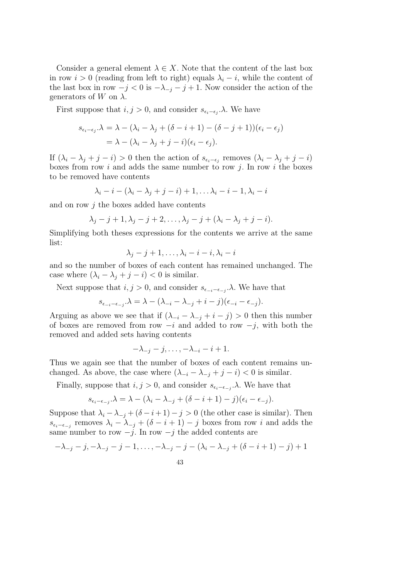Consider a general element  $\lambda \in X$ . Note that the content of the last box in row  $i > 0$  (reading from left to right) equals  $\lambda_i - i$ , while the content of the last box in row  $-j < 0$  is  $-\lambda_{-j} - j + 1$ . Now consider the action of the generators of W on  $\lambda$ .

First suppose that  $i, j > 0$ , and consider  $s_{\epsilon_i-\epsilon_j}$ . We have

$$
s_{\epsilon_i-\epsilon_j}.\lambda = \lambda - (\lambda_i - \lambda_j + (\delta - i + 1) - (\delta - j + 1))(\epsilon_i - \epsilon_j)
$$
  
=  $\lambda - (\lambda_i - \lambda_j + j - i)(\epsilon_i - \epsilon_j).$ 

If  $(\lambda_i - \lambda_j + j - i) > 0$  then the action of  $s_{\epsilon_i - \epsilon_j}$  removes  $(\lambda_i - \lambda_j + j - i)$ boxes from row  $i$  and adds the same number to row  $j$ . In row  $i$  the boxes to be removed have contents

$$
\lambda_i - i - (\lambda_i - \lambda_j + j - i) + 1, \ldots \lambda_i - i - 1, \lambda_i - i
$$

and on row  $i$  the boxes added have contents

$$
\lambda_j - j + 1, \lambda_j - j + 2, \dots, \lambda_j - j + (\lambda_i - \lambda_j + j - i).
$$

Simplifying both theses expressions for the contents we arrive at the same list:

$$
\lambda_j - j + 1, \dots, \lambda_i - i - i, \lambda_i - i
$$

and so the number of boxes of each content has remained unchanged. The case where  $(\lambda_i - \lambda_j + j - i) < 0$  is similar.

Next suppose that  $i, j > 0$ , and consider  $s_{\epsilon_{-i}-\epsilon_{-j}}$ . We have that

$$
s_{\epsilon_{-i}-\epsilon_{-j}}.\lambda = \lambda - (\lambda_{-i} - \lambda_{-j} + i - j)(\epsilon_{-i} - \epsilon_{-j}).
$$

Arguing as above we see that if  $(\lambda_{-i} - \lambda_{-j} + i - j) > 0$  then this number of boxes are removed from row  $-i$  and added to row  $-j$ , with both the removed and added sets having contents

$$
-\lambda_{-j}-j,\ldots,-\lambda_{-i}-i+1.
$$

Thus we again see that the number of boxes of each content remains unchanged. As above, the case where  $(\lambda_{-i} - \lambda_{-i} + j - i) < 0$  is similar.

Finally, suppose that  $i, j > 0$ , and consider  $s_{\epsilon_i-\epsilon_{-j}}.\lambda$ . We have that

$$
s_{\epsilon_i-\epsilon_{-j}}.\lambda = \lambda - (\lambda_i - \lambda_{-j} + (\delta - i + 1) - j)(\epsilon_i - \epsilon_{-j}).
$$

Suppose that  $\lambda_i - \lambda_{-i} + (\delta - i + 1) - j > 0$  (the other case is similar). Then  $s_{\epsilon_i-\epsilon_{-j}}$  removes  $\lambda_i - \lambda_{-j} + (\delta - i + 1) - j$  boxes from row i and adds the same number to row  $-j$ . In row  $-j$  the added contents are

$$
-\lambda_{-j} - j, -\lambda_{-j} - j - 1, \dots, -\lambda_{-j} - j - (\lambda_i - \lambda_{-j} + (\delta - i + 1) - j) + 1
$$
  
43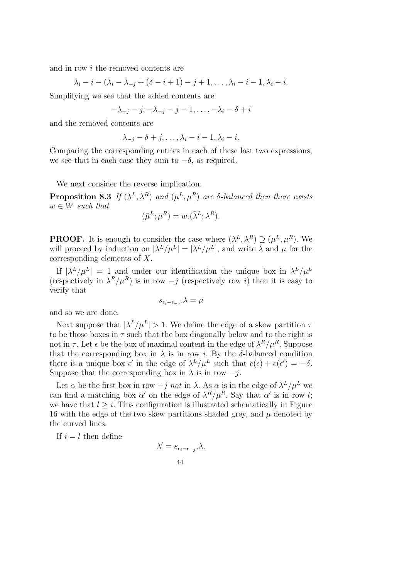and in row i the removed contents are

$$
\lambda_i - i - (\lambda_i - \lambda_{-j} + (\delta - i + 1) - j + 1, ..., \lambda_i - i - 1, \lambda_i - i.
$$

Simplifying we see that the added contents are

$$
-\lambda_{-j}-j, -\lambda_{-j}-j-1, \ldots, -\lambda_i-\delta+i
$$

and the removed contents are

$$
\lambda_{-j}-\delta+j,\ldots,\lambda_i-i-1,\lambda_i-i.
$$

Comparing the corresponding entries in each of these last two expressions, we see that in each case they sum to  $-\delta$ , as required.

We next consider the reverse implication.

**Proposition 8.3** If  $(\lambda^L, \lambda^R)$  and  $(\mu^L, \mu^R)$  are  $\delta$ -balanced then there exists  $w \in W$  *such that* 

$$
(\bar{\mu}^L; \mu^R) = w.(\bar{\lambda}^L; \lambda^R).
$$

**PROOF.** It is enough to consider the case where  $(\lambda^L, \lambda^R) \supseteq (\mu^L, \mu^R)$ . We will proceed by induction on  $|\lambda^L/\mu^L| = |\lambda^L/\mu^L|$ , and write  $\lambda$  and  $\mu$  for the corresponding elements of X.

If  $|\lambda^L/\mu^L| = 1$  and under our identification the unique box in  $\lambda^L/\mu^L$ (respectively in  $\lambda^R/\mu^R$ ) is in row  $-j$  (respectively row i) then it is easy to verify that

$$
s_{\epsilon_i-\epsilon_{-j}}.\lambda=\mu
$$

and so we are done.

Next suppose that  $|\lambda^L/\mu^L| > 1$ . We define the edge of a skew partition  $\tau$ to be those boxes in  $\tau$  such that the box diagonally below and to the right is not in  $\tau$ . Let  $\epsilon$  be the box of maximal content in the edge of  $\lambda^R/\mu^R$ . Suppose that the corresponding box in  $\lambda$  is in row *i*. By the  $\delta$ -balanced condition there is a unique box  $\epsilon'$  in the edge of  $\lambda^L/\mu^L$  such that  $c(\epsilon) + c(\epsilon') = -\delta$ . Suppose that the corresponding box in  $\lambda$  is in row  $-j$ .

Let  $\alpha$  be the first box in row  $-j$  *not* in  $\lambda$ . As  $\alpha$  is in the edge of  $\lambda^L/\mu^L$  we can find a matching box  $\alpha'$  on the edge of  $\lambda^R/\mu^R$ . Say that  $\alpha'$  is in row l; we have that  $l > i$ . This configuration is illustrated schematically in Figure 16 with the edge of the two skew partitions shaded grey, and  $\mu$  denoted by the curved lines.

If  $i = l$  then define

$$
\lambda' = s_{\epsilon_i - \epsilon_{-j}}.\lambda.
$$
  
44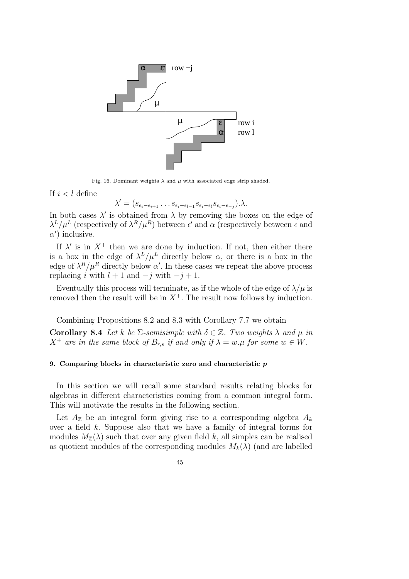

Fig. 16. Dominant weights  $\lambda$  and  $\mu$  with associated edge strip shaded.

If  $i < l$  define

$$
\lambda' = (s_{\epsilon_i - \epsilon_{i+1}} \dots s_{\epsilon_i - \epsilon_{l-1}} s_{\epsilon_i - \epsilon_l} s_{\epsilon_i - \epsilon_{-j}}).
$$

In both cases  $\lambda'$  is obtained from  $\lambda$  by removing the boxes on the edge of  $\lambda^L/\mu^L$  (respectively of  $\lambda^R/\mu^R$ ) between  $\epsilon'$  and  $\alpha$  (respectively between  $\epsilon$  and  $\alpha'$ ) inclusive.

If  $\lambda'$  is in  $X^+$  then we are done by induction. If not, then either there is a box in the edge of  $\lambda^L/\mu^L$  directly below  $\alpha$ , or there is a box in the edge of  $\lambda^R/\mu^R$  directly below  $\alpha'$ . In these cases we repeat the above process replacing i with  $l + 1$  and  $-j$  with  $-j + 1$ .

Eventually this process will terminate, as if the whole of the edge of  $\lambda/\mu$  is removed then the result will be in  $X^+$ . The result now follows by induction.

Combining Propositions 8.2 and 8.3 with Corollary 7.7 we obtain

Corollary 8.4 Let k be  $\Sigma$ -semisimple with  $\delta \in \mathbb{Z}$ . Two weights  $\lambda$  and  $\mu$  in  $X^+$  *are in the same block of*  $B_{rs}$  *if and only if*  $\lambda = w.\mu$  *for some*  $w \in W$ *.* 

#### 9. Comparing blocks in characteristic zero and characteristic p

In this section we will recall some standard results relating blocks for algebras in different characteristics coming from a common integral form. This will motivate the results in the following section.

Let  $A_{\mathbb{Z}}$  be an integral form giving rise to a corresponding algebra  $A_k$ over a field k. Suppose also that we have a family of integral forms for modules  $M_{\mathbb{Z}}(\lambda)$  such that over any given field k, all simples can be realised as quotient modules of the corresponding modules  $M_k(\lambda)$  (and are labelled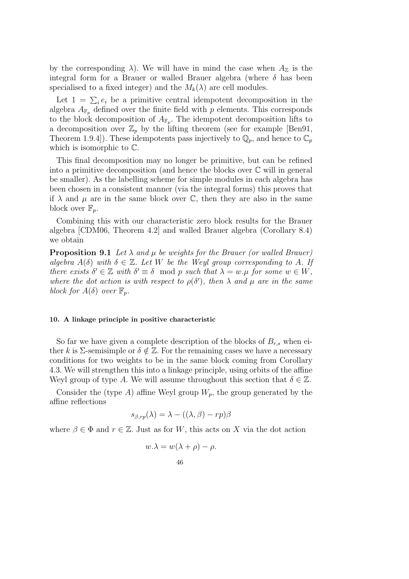by the corresponding  $\lambda$ ). We will have in mind the case when  $A_{\mathbb{Z}}$  is the integral form for a Brauer or walled Brauer algebra (where  $\delta$  has been specialised to a fixed integer) and the  $M_k(\lambda)$  are cell modules.

Let  $1 = \sum_i e_i$  be a primitive central idempotent decomposition in the algebra  $A_{\mathbb{F}_p}$  defined over the finite field with p elements. This corresponds to the block decomposition of  $A_{\mathbb{F}_p}$ . The idempotent decomposition lifts to a decomposition over  $\mathbb{Z}_p$  by the lifting theorem (see for example [Ben91, Theorem 1.9.4]). These idempotents pass injectively to  $\mathbb{Q}_p$ , and hence to  $\mathbb{C}_p$ which is isomorphic to C.

This final decomposition may no longer be primitive, but can be refined into a primitive decomposition (and hence the blocks over  $\mathbb C$  will in general be smaller). As the labelling scheme for simple modules in each algebra has been chosen in a consistent manner (via the integral forms) this proves that if  $\lambda$  and  $\mu$  are in the same block over C, then they are also in the same block over  $\mathbb{F}_p$ .

Combining this with our characteristic zero block results for the Brauer algebra [CDM06, Theorem 4.2] and walled Brauer algebra (Corollary 8.4) we obtain

**Proposition 9.1** Let  $\lambda$  and  $\mu$  be weights for the Brauer (or walled Brauer) *algebra*  $A(\delta)$  *with*  $\delta \in \mathbb{Z}$ *. Let* W *be the Weyl group corresponding to* A*. If there exists*  $\delta' \in \mathbb{Z}$  *with*  $\delta' \equiv \delta \mod p$  *such that*  $\lambda = w.\mu$  *for some*  $w \in W$ *, where the dot action is with respect to*  $\rho(\delta')$ *, then*  $\lambda$  *and*  $\mu$  *are in the same block for*  $A(\delta)$  *over*  $\mathbb{F}_p$ *.* 

#### 10. A linkage principle in positive characteristic

So far we have given a complete description of the blocks of  $B_{r,s}$  when either k is  $\Sigma$ -semisimple or  $\delta \notin \mathbb{Z}$ . For the remaining cases we have a necessary conditions for two weights to be in the same block coming from Corollary 4.3. We will strengthen this into a linkage principle, using orbits of the affine Weyl group of type A. We will assume throughout this section that  $\delta \in \mathbb{Z}$ .

Consider the (type A) affine Weyl group  $W_p$ , the group generated by the affine reflections

$$
s_{\beta,rp}(\lambda) = \lambda - ((\lambda, \beta) - rp)\beta
$$

where  $\beta \in \Phi$  and  $r \in \mathbb{Z}$ . Just as for W, this acts on X via the dot action

$$
w.\lambda = w(\lambda + \rho) - \rho.
$$

$$
46\,
$$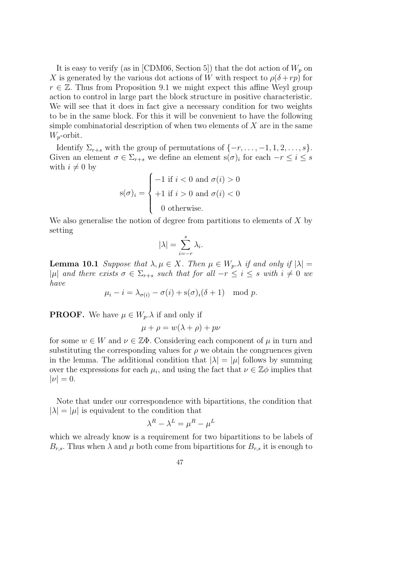It is easy to verify (as in [CDM06, Section 5]) that the dot action of  $W_p$  on X is generated by the various dot actions of W with respect to  $\rho(\delta + rp)$  for  $r \in \mathbb{Z}$ . Thus from Proposition 9.1 we might expect this affine Weyl group action to control in large part the block structure in positive characteristic. We will see that it does in fact give a necessary condition for two weights to be in the same block. For this it will be convenient to have the following simple combinatorial description of when two elements of  $X$  are in the same  $W_p$ -orbit.

Identify  $\Sigma_{r+s}$  with the group of permutations of  $\{-r, \ldots, -1, 1, 2, \ldots, s\}$ . Given an element  $\sigma \in \Sigma_{r+s}$  we define an element  $s(\sigma)_i$  for each  $-r \leq i \leq s$ with  $i \neq 0$  by

$$
s(\sigma)_i = \begin{cases} -1 \text{ if } i < 0 \text{ and } \sigma(i) > 0 \\ +1 \text{ if } i > 0 \text{ and } \sigma(i) < 0 \\ 0 \text{ otherwise.} \end{cases}
$$

We also generalise the notion of degree from partitions to elements of  $X$  by setting

$$
|\lambda| = \sum_{i=-r}^{s} \lambda_i.
$$

**Lemma 10.1** *Suppose that*  $\lambda, \mu \in X$ *. Then*  $\mu \in W_p$ *.* $\lambda$  *if and only if*  $|\lambda|$  = |µ| and there exists  $\sigma \in \Sigma_{r+s}$  such that for all  $-r \leq i \leq s$  with  $i \neq 0$  we *have*

$$
\mu_i - i = \lambda_{\sigma(i)} - \sigma(i) + \mathrm{s}(\sigma)_i(\delta + 1) \mod p.
$$

**PROOF.** We have  $\mu \in W_p$ .  $\lambda$  if and only if

$$
\mu + \rho = w(\lambda + \rho) + p\nu
$$

for some  $w \in W$  and  $\nu \in \mathbb{Z}\Phi$ . Considering each component of  $\mu$  in turn and substituting the corresponding values for  $\rho$  we obtain the congruences given in the lemma. The additional condition that  $|\lambda| = |\mu|$  follows by summing over the expressions for each  $\mu_i$ , and using the fact that  $\nu \in \mathbb{Z}\phi$  implies that  $|\nu| = 0.$ 

Note that under our correspondence with bipartitions, the condition that  $|\lambda| = |\mu|$  is equivalent to the condition that

$$
\lambda^R - \lambda^L = \mu^R - \mu^L
$$

which we already know is a requirement for two bipartitions to be labels of  $B_{r,s}$ . Thus when  $\lambda$  and  $\mu$  both come from bipartitions for  $B_{r,s}$  it is enough to

$$
47\,
$$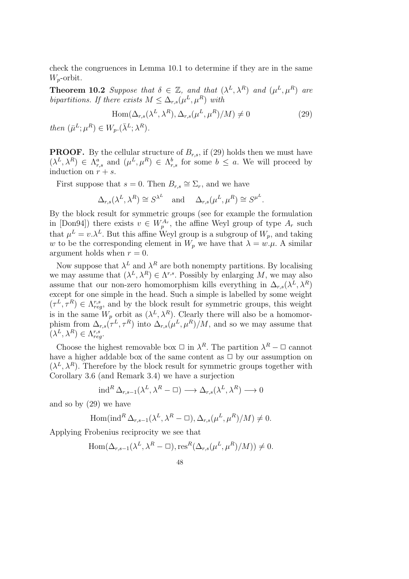check the congruences in Lemma 10.1 to determine if they are in the same  $W_p$ -orbit.

**Theorem 10.2** Suppose that  $\delta \in \mathbb{Z}$ , and that  $(\lambda^L, \lambda^R)$  and  $(\mu^L, \mu^R)$  are *bipartitions. If there exists*  $M \leq \Delta_{r,s}(\mu^L, \mu^R)$  *with* 

$$
Hom(\Delta_{r,s}(\lambda^L, \lambda^R), \Delta_{r,s}(\mu^L, \mu^R)/M) \neq 0
$$
\n(29)

*then*  $(\bar{\mu}^L; \mu^R) \in W_p.(\bar{\lambda}^L; \lambda^R)$ *.* 

**PROOF.** By the cellular structure of  $B_{r,s}$ , if (29) holds then we must have  $(\lambda^L, \lambda^R) \in \Lambda_{r,s}^a$  and  $(\mu^L, \mu^R) \in \Lambda_{r,s}^b$  for some  $b \leq a$ . We will proceed by induction on  $r + s$ .

First suppose that  $s = 0$ . Then  $B_{r,s} \cong \Sigma_r$ , and we have

$$
\Delta_{r,s}(\lambda^L, \lambda^R) \cong S^{\lambda^L} \quad \text{and} \quad \Delta_{r,s}(\mu^L, \mu^R) \cong S^{\mu^L}.
$$

By the block result for symmetric groups (see for example the formulation in [Don94]) there exists  $v \in W_p^{A_r}$ , the affine Weyl group of type  $A_r$  such that  $\mu^L = v.\lambda^L$ . But this affine Weyl group is a subgroup of  $W_p$ , and taking w to be the corresponding element in  $W_p$  we have that  $\lambda = w.\mu$ . A similar argument holds when  $r = 0$ .

Now suppose that  $\lambda^L$  and  $\lambda^R$  are both nonempty partitions. By localising we may assume that  $(\lambda^L, \lambda^R) \in \Lambda^{r,s}$ . Possibly by enlarging M, we may also assume that our non-zero homomorphism kills everything in  $\Delta_{r,s}(\lambda^L, \lambda^R)$ except for one simple in the head. Such a simple is labelled by some weight  $(\tau^L, \tau^R) \in \Lambda_{reg}^{r,s}$ , and by the block result for symmetric groups, this weight is in the same  $W_p$  orbit as  $(\lambda^L, \lambda^R)$ . Clearly there will also be a homomorphism from  $\Delta_{r,s}(\tau^L, \tau^R)$  into  $\Delta_{r,s}(\mu^L, \mu^R)/M$ , and so we may assume that  $(\lambda^L, \lambda^R) \in \Lambda_{reg}^{r,s}.$ 

Choose the highest removable box  $\Box$  in  $\lambda^R$ . The partition  $\lambda^R - \Box$  cannot have a higher addable box of the same content as  $\Box$  by our assumption on  $(\lambda^L, \lambda^R)$ . Therefore by the block result for symmetric groups together with Corollary 3.6 (and Remark 3.4) we have a surjection

$$
\operatorname{ind}^R \Delta_{r,s-1}(\lambda^L, \lambda^R - \square) \longrightarrow \Delta_{r,s}(\lambda^L, \lambda^R) \longrightarrow 0
$$

and so by (29) we have

Hom
$$
(ind^R \Delta_{r,s-1}(\lambda^L, \lambda^R - \square), \Delta_{r,s}(\mu^L, \mu^R)/M) \neq 0.
$$

Applying Frobenius reciprocity we see that

$$
\text{Hom}(\Delta_{r,s-1}(\lambda^L, \lambda^R - \square), \text{res}^R(\Delta_{r,s}(\mu^L, \mu^R)/M)) \neq 0.
$$

$$
48\,
$$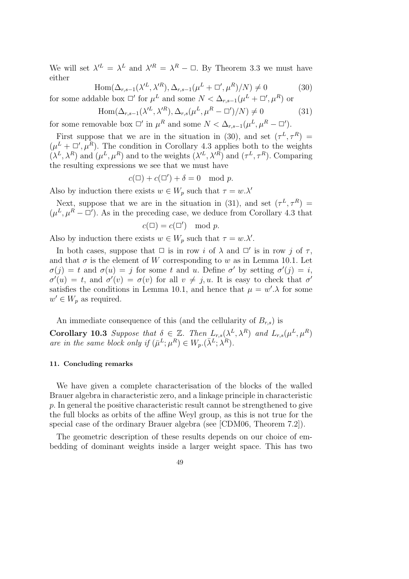We will set  $\lambda^{L} = \lambda^{L}$  and  $\lambda^{R} = \lambda^{R} - \square$ . By Theorem 3.3 we must have either

$$
\operatorname{Hom}(\Delta_{r,s-1}(\lambda'^L, \lambda'^R), \Delta_{r,s-1}(\mu^L + \square', \mu^R)/N) \neq 0 \tag{30}
$$

for some addable box  $\Box'$  for  $\mu^L$  and some  $N < \Delta_{r,s-1}(\mu^L + \Box', \mu^R)$  or

$$
\text{Hom}(\Delta_{r,s-1}(\lambda'^L, \lambda'^R), \Delta_{r,s}(\mu^L, \mu^R - \square')/N) \neq 0 \tag{31}
$$

for some removable box  $\Box'$  in  $\mu^R$  and some  $N < \Delta_{r,s-1}(\mu^L, \mu^R - \Box').$ 

First suppose that we are in the situation in (30), and set  $(\tau^L, \tau^R)$  =  $(\mu^L + \Box', \mu^R)$ . The condition in Corollary 4.3 applies both to the weights  $(\lambda^L, \lambda^R)$  and  $(\mu^L, \mu^R)$  and to the weights  $(\lambda'^L, \lambda'^R)$  and  $(\tau^L, \tau^R)$ . Comparing the resulting expressions we see that we must have

$$
c(\square) + c(\square') + \delta = 0 \mod p.
$$

Also by induction there exists  $w \in W_p$  such that  $\tau = w.\lambda'$ 

Next, suppose that we are in the situation in (31), and set  $(\tau^L, \tau^R)$  =  $(\mu^L, \mu^R - \Box')$ . As in the preceding case, we deduce from Corollary 4.3 that

$$
c(\square) = c(\square') \mod p.
$$

Also by induction there exists  $w \in W_p$  such that  $\tau = w.\lambda'$ .

In both cases, suppose that  $\Box$  is in row i of  $\lambda$  and  $\Box'$  is in row j of  $\tau$ , and that  $\sigma$  is the element of W corresponding to w as in Lemma 10.1. Let  $\sigma(j) = t$  and  $\sigma(u) = j$  for some t and u. Define  $\sigma'$  by setting  $\sigma'(j) = i$ ,  $\sigma'(u) = t$ , and  $\sigma'(v) = \sigma(v)$  for all  $v \neq j, u$ . It is easy to check that  $\sigma'$ satisfies the conditions in Lemma 10.1, and hence that  $\mu = w' \lambda$  for some  $w' \in W_p$  as required.

An immediate consequence of this (and the cellularity of  $B_{r,s}$ ) is

**Corollary 10.3** Suppose that  $\delta \in \mathbb{Z}$ . Then  $L_{r,s}(\lambda^L, \lambda^R)$  and  $L_{r,s}(\mu^L, \mu^R)$ *are in the same block only if*  $(\bar{\mu}^L; \mu^R) \in W_p. (\bar{\lambda}^L; \bar{\lambda}^R)$ .

#### 11. Concluding remarks

We have given a complete characterisation of the blocks of the walled Brauer algebra in characteristic zero, and a linkage principle in characteristic p. In general the positive characteristic result cannot be strengthened to give the full blocks as orbits of the affine Weyl group, as this is not true for the special case of the ordinary Brauer algebra (see [CDM06, Theorem 7.2]).

The geometric description of these results depends on our choice of embedding of dominant weights inside a larger weight space. This has two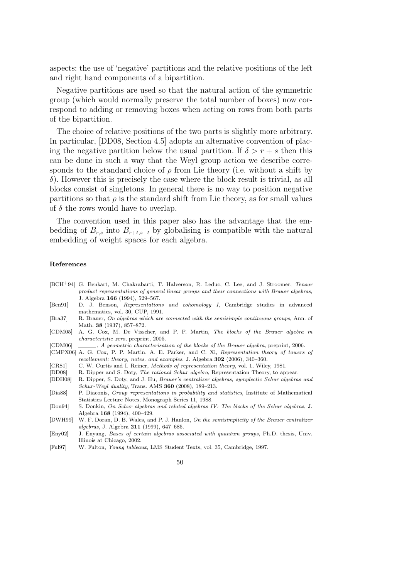aspects: the use of 'negative' partitions and the relative positions of the left and right hand components of a bipartition.

Negative partitions are used so that the natural action of the symmetric group (which would normally preserve the total number of boxes) now correspond to adding or removing boxes when acting on rows from both parts of the bipartition.

The choice of relative positions of the two parts is slightly more arbitrary. In particular, [DD08, Section 4.5] adopts an alternative convention of placing the negative partition below the usual partition. If  $\delta > r + s$  then this can be done in such a way that the Weyl group action we describe corresponds to the standard choice of  $\rho$  from Lie theory (i.e. without a shift by δ). However this is precisely the case where the block result is trivial, as all blocks consist of singletons. In general there is no way to position negative partitions so that  $\rho$  is the standard shift from Lie theory, as for small values of  $\delta$  the rows would have to overlap.

The convention used in this paper also has the advantage that the embedding of  $B_{r,s}$  into  $B_{r+t,s+t}$  by globalising is compatible with the natural embedding of weight spaces for each algebra.

#### References

- [BCH+94] G. Benkart, M. Chakrabarti, T. Halverson, R. Leduc, C. Lee, and J. Stroomer, *Tensor product representations of general linear groups and their connections with Brauer algebras*, J. Algebra 166 (1994), 529–567.
- [Ben91] D. J. Benson, *Representations and cohomology I*, Cambridge studies in advanced mathematics, vol. 30, CUP, 1991.
- [Bra37] R. Brauer, *On algebras which are connected with the semisimple continuous groups*, Ann. of Math. 38 (1937), 857–872.
- [CDM05] A. G. Cox, M. De Visscher, and P. P. Martin, *The blocks of the Brauer algebra in characteristic zero*, preprint, 2005.
- [CDM06] , *A geometric characterisation of the blocks of the Brauer algebra*, preprint, 2006.
- [CMPX06] A. G. Cox, P. P. Martin, A. E. Parker, and C. Xi, *Representation theory of towers of recollement: theory, notes, and examples*, J. Algebra 302 (2006), 340–360.
- [CR81] C. W. Curtis and I. Reiner, *Methods of representation theory*, vol. 1, Wiley, 1981.
- [DD08] R. Dipper and S. Doty, *The rational Schur algebra*, Representation Theory, to appear.
- [DDH08] R. Dipper, S. Doty, and J. Hu, *Brauer's centralizer algebras, symplectic Schur algebras and Schur-Weyl duality*, Trans. AMS 360 (2008), 189–213.
- [Dia88] P. Diaconis, *Group representations in probability and statistics*, Institute of Mathematical Statistics Lecture Notes, Monograph Series 11, 1988.
- [Don94] S. Donkin, *On Schur algebras and related algebras IV: The blocks of the Schur algebras*, J. Algebra 168 (1994), 400–429.
- [DWH99] W. F. Doran, D. B. Wales, and P. J. Hanlon, *On the semisimplicity of the Brauer centralizer algebras*, J. Algebra 211 (1999), 647–685.
- [Eny02] J. Enyang, *Bases of certain algebras associated with quantum groups*, Ph.D. thesis, Univ. Illinois at Chicago, 2002.
- [Ful97] W. Fulton, *Young tableaux*, LMS Student Texts, vol. 35, Cambridge, 1997.
	- 50